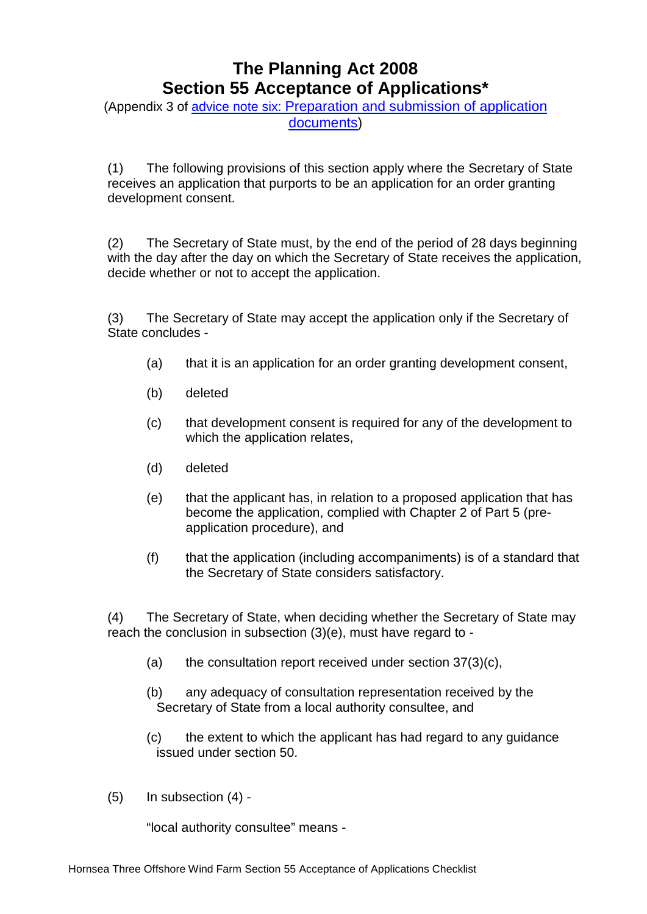# **The Planning Act 2008 Section 55 Acceptance of Applications\***

(Appendix 3 of [advice note six: Preparation and submission of application](http://infrastructure.planningportal.gov.uk/legislation-and-advice/advice-notes/)  [documents\)](http://infrastructure.planningportal.gov.uk/legislation-and-advice/advice-notes/)

(1) The following provisions of this section apply where the Secretary of State receives an application that purports to be an application for an order granting development consent.

(2) The Secretary of State must, by the end of the period of 28 days beginning with the day after the day on which the Secretary of State receives the application, decide whether or not to accept the application.

(3) The Secretary of State may accept the application only if the Secretary of State concludes -

- (a) that it is an application for an order granting development consent,
- (b) deleted
- (c) that development consent is required for any of the development to which the application relates,
- (d) deleted
- (e) that the applicant has, in relation to a proposed application that has become the application, complied with Chapter 2 of Part 5 (preapplication procedure), and
- (f) that the application (including accompaniments) is of a standard that the Secretary of State considers satisfactory.

(4) The Secretary of State, when deciding whether the Secretary of State may reach the conclusion in subsection (3)(e), must have regard to -

- (a) the consultation report received under section  $37(3)(c)$ ,
- (b) any adequacy of consultation representation received by the Secretary of State from a local authority consultee, and
- (c) the extent to which the applicant has had regard to any guidance issued under section 50.
- $(5)$  In subsection  $(4)$  -

"local authority consultee" means -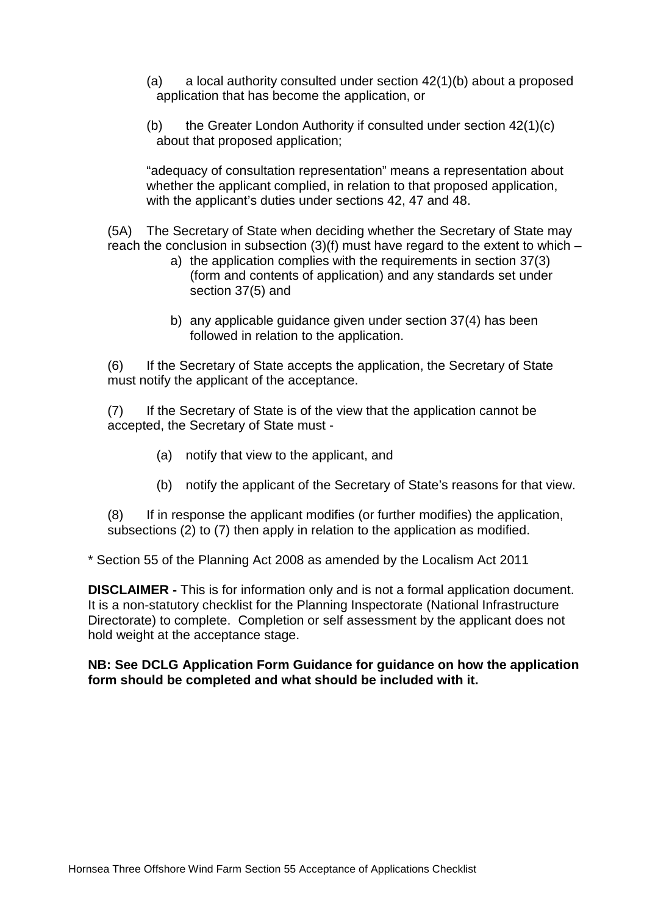- (a) a local authority consulted under section  $42(1)(b)$  about a proposed application that has become the application, or
- (b) the Greater London Authority if consulted under section 42(1)(c) about that proposed application;

"adequacy of consultation representation" means a representation about whether the applicant complied, in relation to that proposed application, with the applicant's duties under sections 42, 47 and 48.

(5A) The Secretary of State when deciding whether the Secretary of State may reach the conclusion in subsection  $(3)(f)$  must have regard to the extent to which –

- a) the application complies with the requirements in section 37(3) (form and contents of application) and any standards set under section 37(5) and
- b) any applicable guidance given under section 37(4) has been followed in relation to the application.

(6) If the Secretary of State accepts the application, the Secretary of State must notify the applicant of the acceptance.

(7) If the Secretary of State is of the view that the application cannot be accepted, the Secretary of State must -

- (a) notify that view to the applicant, and
- (b) notify the applicant of the Secretary of State's reasons for that view.

(8) If in response the applicant modifies (or further modifies) the application, subsections (2) to (7) then apply in relation to the application as modified.

\* Section 55 of the Planning Act 2008 as amended by the Localism Act 2011

**DISCLAIMER -** This is for information only and is not a formal application document. It is a non-statutory checklist for the Planning Inspectorate (National Infrastructure Directorate) to complete. Completion or self assessment by the applicant does not hold weight at the acceptance stage.

**NB: See DCLG Application Form Guidance for guidance on how the application form should be completed and what should be included with it.**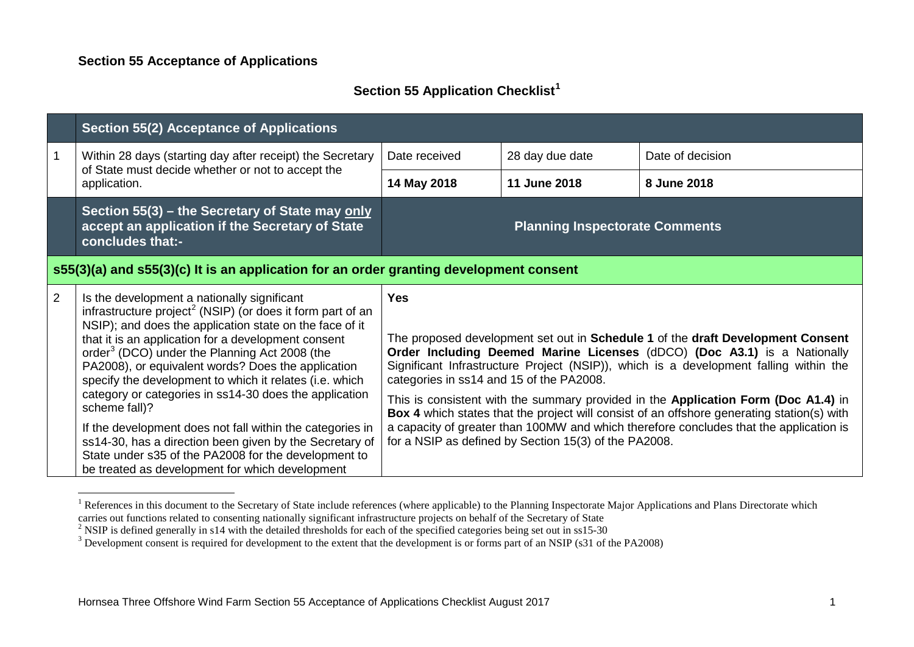-

# <span id="page-2-2"></span><span id="page-2-1"></span><span id="page-2-0"></span>**Section 55 Application Checklist[1](#page-2-0)**

|                | <b>Section 55(2) Acceptance of Applications</b>                                                                                                                                                                                                                                                                                                                                                                                                                                                                                                                                                                                                                                                                                     |                                                        |                                                       |                                                                                                                                                                                                                                                                                                                                                                                                                                                                                                                                    |
|----------------|-------------------------------------------------------------------------------------------------------------------------------------------------------------------------------------------------------------------------------------------------------------------------------------------------------------------------------------------------------------------------------------------------------------------------------------------------------------------------------------------------------------------------------------------------------------------------------------------------------------------------------------------------------------------------------------------------------------------------------------|--------------------------------------------------------|-------------------------------------------------------|------------------------------------------------------------------------------------------------------------------------------------------------------------------------------------------------------------------------------------------------------------------------------------------------------------------------------------------------------------------------------------------------------------------------------------------------------------------------------------------------------------------------------------|
|                | Within 28 days (starting day after receipt) the Secretary<br>of State must decide whether or not to accept the                                                                                                                                                                                                                                                                                                                                                                                                                                                                                                                                                                                                                      | Date received                                          | 28 day due date                                       | Date of decision                                                                                                                                                                                                                                                                                                                                                                                                                                                                                                                   |
|                | application.                                                                                                                                                                                                                                                                                                                                                                                                                                                                                                                                                                                                                                                                                                                        | 14 May 2018                                            | 11 June 2018                                          | 8 June 2018                                                                                                                                                                                                                                                                                                                                                                                                                                                                                                                        |
|                | Section 55(3) – the Secretary of State may only<br>accept an application if the Secretary of State<br>concludes that:-                                                                                                                                                                                                                                                                                                                                                                                                                                                                                                                                                                                                              |                                                        | <b>Planning Inspectorate Comments</b>                 |                                                                                                                                                                                                                                                                                                                                                                                                                                                                                                                                    |
|                | s55(3)(a) and s55(3)(c) It is an application for an order granting development consent                                                                                                                                                                                                                                                                                                                                                                                                                                                                                                                                                                                                                                              |                                                        |                                                       |                                                                                                                                                                                                                                                                                                                                                                                                                                                                                                                                    |
| $\overline{2}$ | Is the development a nationally significant<br>infrastructure project <sup>2</sup> (NSIP) (or does it form part of an<br>NSIP); and does the application state on the face of it<br>that it is an application for a development consent<br>order <sup>3</sup> (DCO) under the Planning Act 2008 (the<br>PA2008), or equivalent words? Does the application<br>specify the development to which it relates (i.e. which<br>category or categories in ss14-30 does the application<br>scheme fall)?<br>If the development does not fall within the categories in<br>ss14-30, has a direction been given by the Secretary of<br>State under s35 of the PA2008 for the development to<br>be treated as development for which development | <b>Yes</b><br>categories in ss14 and 15 of the PA2008. | for a NSIP as defined by Section 15(3) of the PA2008. | The proposed development set out in Schedule 1 of the draft Development Consent<br>Order Including Deemed Marine Licenses (dDCO) (Doc A3.1) is a Nationally<br>Significant Infrastructure Project (NSIP)), which is a development falling within the<br>This is consistent with the summary provided in the Application Form (Doc A1.4) in<br>Box 4 which states that the project will consist of an offshore generating station(s) with<br>a capacity of greater than 100MW and which therefore concludes that the application is |

<sup>&</sup>lt;sup>1</sup> References in this document to the Secretary of State include references (where applicable) to the Planning Inspectorate Major Applications and Plans Directorate which carries out functions related to consenting nationally significant infrastructure projects on behalf of the Secretary of State<br>
<sup>2</sup> NSIP is defined generally in s14 with the detailed thresholds for each of the specified c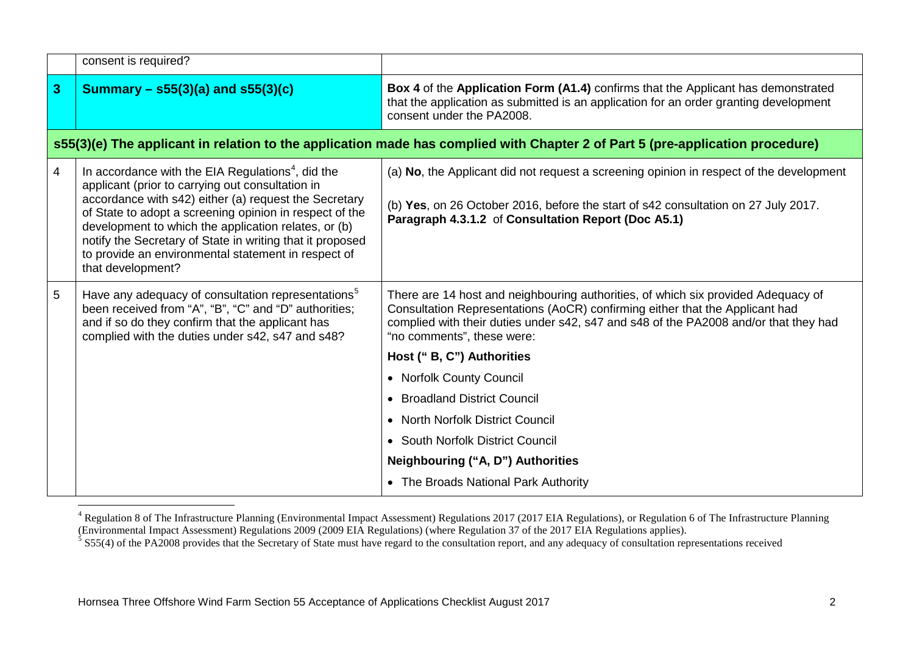<span id="page-3-1"></span><span id="page-3-0"></span>

|                | consent is required?                                                                                                                                                                                                                                                                                                                                                                                                                   |                                                                                                                                                                                                                                                                                                                                                                                                                                                                                               |  |  |
|----------------|----------------------------------------------------------------------------------------------------------------------------------------------------------------------------------------------------------------------------------------------------------------------------------------------------------------------------------------------------------------------------------------------------------------------------------------|-----------------------------------------------------------------------------------------------------------------------------------------------------------------------------------------------------------------------------------------------------------------------------------------------------------------------------------------------------------------------------------------------------------------------------------------------------------------------------------------------|--|--|
| 3              | Summary $-$ s55(3)(a) and s55(3)(c)                                                                                                                                                                                                                                                                                                                                                                                                    | Box 4 of the Application Form (A1.4) confirms that the Applicant has demonstrated<br>that the application as submitted is an application for an order granting development<br>consent under the PA2008.                                                                                                                                                                                                                                                                                       |  |  |
|                | s55(3)(e) The applicant in relation to the application made has complied with Chapter 2 of Part 5 (pre-application procedure)                                                                                                                                                                                                                                                                                                          |                                                                                                                                                                                                                                                                                                                                                                                                                                                                                               |  |  |
| $\overline{4}$ | In accordance with the EIA Regulations <sup>4</sup> , did the<br>applicant (prior to carrying out consultation in<br>accordance with s42) either (a) request the Secretary<br>of State to adopt a screening opinion in respect of the<br>development to which the application relates, or (b)<br>notify the Secretary of State in writing that it proposed<br>to provide an environmental statement in respect of<br>that development? | (a) No, the Applicant did not request a screening opinion in respect of the development<br>(b) Yes, on 26 October 2016, before the start of s42 consultation on 27 July 2017.<br>Paragraph 4.3.1.2 of Consultation Report (Doc A5.1)                                                                                                                                                                                                                                                          |  |  |
| 5              | Have any adequacy of consultation representations <sup>5</sup><br>been received from "A", "B", "C" and "D" authorities;<br>and if so do they confirm that the applicant has<br>complied with the duties under s42, s47 and s48?                                                                                                                                                                                                        | There are 14 host and neighbouring authorities, of which six provided Adequacy of<br>Consultation Representations (AoCR) confirming either that the Applicant had<br>complied with their duties under s42, s47 and s48 of the PA2008 and/or that they had<br>"no comments", these were:<br>Host ("B, C") Authorities<br>• Norfolk County Council<br>• Broadland District Council<br>• North Norfolk District Council<br>• South Norfolk District Council<br>Neighbouring ("A, D") Authorities |  |  |
|                |                                                                                                                                                                                                                                                                                                                                                                                                                                        | • The Broads National Park Authority                                                                                                                                                                                                                                                                                                                                                                                                                                                          |  |  |

 $4$  Regulation 8 of The Infrastructure Planning (Environmental Impact Assessment) Regulations 2017 (2017 EIA Regulations), or Regulation 6 of The Infrastructure Planning (Environmental Impact Assessment) Regulations 2009 (2009 EIA Regulations) (where Regulation 37 of the 2017 EIA Regulations applies).<br><sup>5</sup> S55(4) of the PA2008 provides that the Secretary of State must have regard to the con -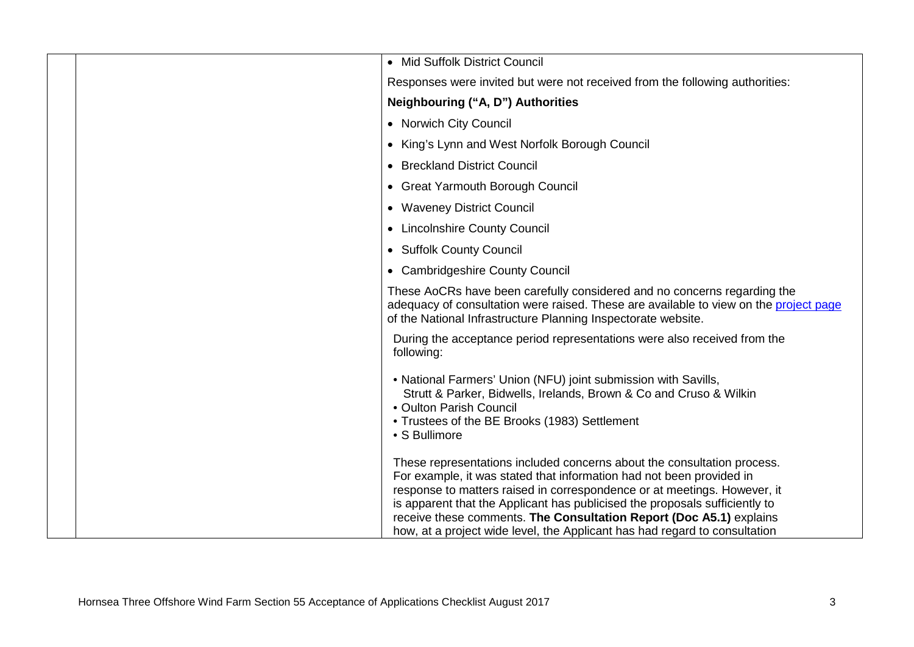| • Mid Suffolk District Council                                                                                                                                                                                                                                                                                                                                                                                                                                  |
|-----------------------------------------------------------------------------------------------------------------------------------------------------------------------------------------------------------------------------------------------------------------------------------------------------------------------------------------------------------------------------------------------------------------------------------------------------------------|
| Responses were invited but were not received from the following authorities:                                                                                                                                                                                                                                                                                                                                                                                    |
| Neighbouring ("A, D") Authorities                                                                                                                                                                                                                                                                                                                                                                                                                               |
| • Norwich City Council                                                                                                                                                                                                                                                                                                                                                                                                                                          |
| • King's Lynn and West Norfolk Borough Council                                                                                                                                                                                                                                                                                                                                                                                                                  |
| • Breckland District Council                                                                                                                                                                                                                                                                                                                                                                                                                                    |
| • Great Yarmouth Borough Council                                                                                                                                                                                                                                                                                                                                                                                                                                |
| • Waveney District Council                                                                                                                                                                                                                                                                                                                                                                                                                                      |
| • Lincolnshire County Council                                                                                                                                                                                                                                                                                                                                                                                                                                   |
| • Suffolk County Council                                                                                                                                                                                                                                                                                                                                                                                                                                        |
| • Cambridgeshire County Council                                                                                                                                                                                                                                                                                                                                                                                                                                 |
| These AoCRs have been carefully considered and no concerns regarding the<br>adequacy of consultation were raised. These are available to view on the project page<br>of the National Infrastructure Planning Inspectorate website.                                                                                                                                                                                                                              |
| During the acceptance period representations were also received from the<br>following:                                                                                                                                                                                                                                                                                                                                                                          |
| • National Farmers' Union (NFU) joint submission with Savills,<br>Strutt & Parker, Bidwells, Irelands, Brown & Co and Cruso & Wilkin<br>• Oulton Parish Council<br>• Trustees of the BE Brooks (1983) Settlement<br>• S Bullimore                                                                                                                                                                                                                               |
| These representations included concerns about the consultation process.<br>For example, it was stated that information had not been provided in<br>response to matters raised in correspondence or at meetings. However, it<br>is apparent that the Applicant has publicised the proposals sufficiently to<br>receive these comments. The Consultation Report (Doc A5.1) explains<br>how, at a project wide level, the Applicant has had regard to consultation |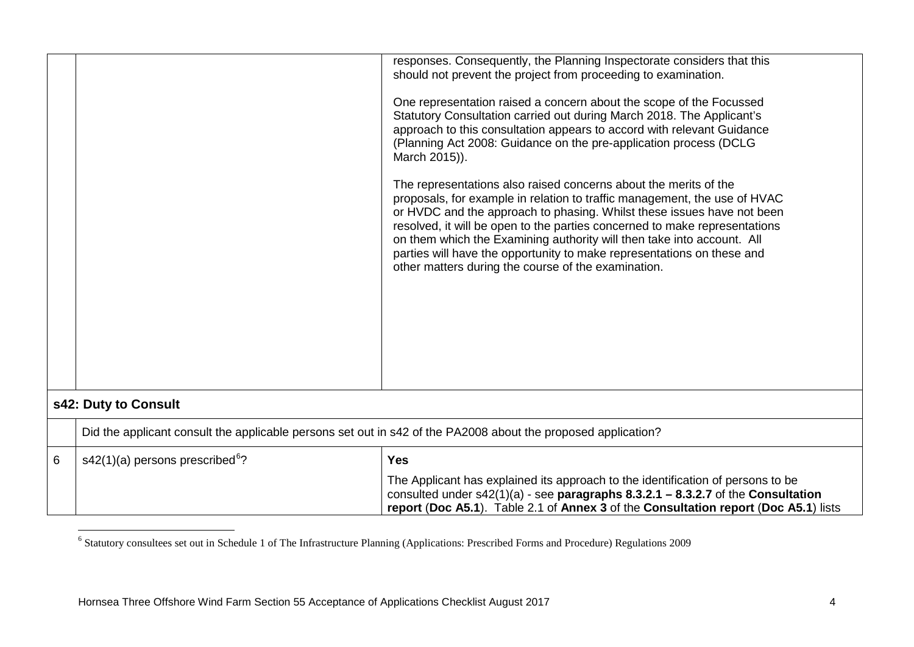<span id="page-5-0"></span>

| responses. Consequently, the Planning Inspectorate considers that this<br>should not prevent the project from proceeding to examination.<br>One representation raised a concern about the scope of the Focussed<br>Statutory Consultation carried out during March 2018. The Applicant's<br>approach to this consultation appears to accord with relevant Guidance<br>(Planning Act 2008: Guidance on the pre-application process (DCLG<br>March 2015)).<br>The representations also raised concerns about the merits of the<br>proposals, for example in relation to traffic management, the use of HVAC<br>or HVDC and the approach to phasing. Whilst these issues have not been<br>resolved, it will be open to the parties concerned to make representations<br>on them which the Examining authority will then take into account. All<br>parties will have the opportunity to make representations on these and<br>other matters during the course of the examination.<br>s42: Duty to Consult<br>Did the applicant consult the applicable persons set out in s42 of the PA2008 about the proposed application?<br>$s42(1)(a)$ persons prescribed <sup>6</sup> ?<br>6<br><b>Yes</b><br>The Applicant has explained its approach to the identification of persons to be<br>consulted under $s42(1)(a)$ - see paragraphs 8.3.2.1 - 8.3.2.7 of the Consultation |  |                                                                                     |
|--------------------------------------------------------------------------------------------------------------------------------------------------------------------------------------------------------------------------------------------------------------------------------------------------------------------------------------------------------------------------------------------------------------------------------------------------------------------------------------------------------------------------------------------------------------------------------------------------------------------------------------------------------------------------------------------------------------------------------------------------------------------------------------------------------------------------------------------------------------------------------------------------------------------------------------------------------------------------------------------------------------------------------------------------------------------------------------------------------------------------------------------------------------------------------------------------------------------------------------------------------------------------------------------------------------------------------------------------------------------|--|-------------------------------------------------------------------------------------|
|                                                                                                                                                                                                                                                                                                                                                                                                                                                                                                                                                                                                                                                                                                                                                                                                                                                                                                                                                                                                                                                                                                                                                                                                                                                                                                                                                                    |  |                                                                                     |
|                                                                                                                                                                                                                                                                                                                                                                                                                                                                                                                                                                                                                                                                                                                                                                                                                                                                                                                                                                                                                                                                                                                                                                                                                                                                                                                                                                    |  |                                                                                     |
|                                                                                                                                                                                                                                                                                                                                                                                                                                                                                                                                                                                                                                                                                                                                                                                                                                                                                                                                                                                                                                                                                                                                                                                                                                                                                                                                                                    |  |                                                                                     |
|                                                                                                                                                                                                                                                                                                                                                                                                                                                                                                                                                                                                                                                                                                                                                                                                                                                                                                                                                                                                                                                                                                                                                                                                                                                                                                                                                                    |  |                                                                                     |
|                                                                                                                                                                                                                                                                                                                                                                                                                                                                                                                                                                                                                                                                                                                                                                                                                                                                                                                                                                                                                                                                                                                                                                                                                                                                                                                                                                    |  |                                                                                     |
|                                                                                                                                                                                                                                                                                                                                                                                                                                                                                                                                                                                                                                                                                                                                                                                                                                                                                                                                                                                                                                                                                                                                                                                                                                                                                                                                                                    |  |                                                                                     |
|                                                                                                                                                                                                                                                                                                                                                                                                                                                                                                                                                                                                                                                                                                                                                                                                                                                                                                                                                                                                                                                                                                                                                                                                                                                                                                                                                                    |  |                                                                                     |
|                                                                                                                                                                                                                                                                                                                                                                                                                                                                                                                                                                                                                                                                                                                                                                                                                                                                                                                                                                                                                                                                                                                                                                                                                                                                                                                                                                    |  |                                                                                     |
|                                                                                                                                                                                                                                                                                                                                                                                                                                                                                                                                                                                                                                                                                                                                                                                                                                                                                                                                                                                                                                                                                                                                                                                                                                                                                                                                                                    |  |                                                                                     |
|                                                                                                                                                                                                                                                                                                                                                                                                                                                                                                                                                                                                                                                                                                                                                                                                                                                                                                                                                                                                                                                                                                                                                                                                                                                                                                                                                                    |  |                                                                                     |
|                                                                                                                                                                                                                                                                                                                                                                                                                                                                                                                                                                                                                                                                                                                                                                                                                                                                                                                                                                                                                                                                                                                                                                                                                                                                                                                                                                    |  |                                                                                     |
|                                                                                                                                                                                                                                                                                                                                                                                                                                                                                                                                                                                                                                                                                                                                                                                                                                                                                                                                                                                                                                                                                                                                                                                                                                                                                                                                                                    |  |                                                                                     |
|                                                                                                                                                                                                                                                                                                                                                                                                                                                                                                                                                                                                                                                                                                                                                                                                                                                                                                                                                                                                                                                                                                                                                                                                                                                                                                                                                                    |  |                                                                                     |
|                                                                                                                                                                                                                                                                                                                                                                                                                                                                                                                                                                                                                                                                                                                                                                                                                                                                                                                                                                                                                                                                                                                                                                                                                                                                                                                                                                    |  |                                                                                     |
|                                                                                                                                                                                                                                                                                                                                                                                                                                                                                                                                                                                                                                                                                                                                                                                                                                                                                                                                                                                                                                                                                                                                                                                                                                                                                                                                                                    |  |                                                                                     |
|                                                                                                                                                                                                                                                                                                                                                                                                                                                                                                                                                                                                                                                                                                                                                                                                                                                                                                                                                                                                                                                                                                                                                                                                                                                                                                                                                                    |  |                                                                                     |
|                                                                                                                                                                                                                                                                                                                                                                                                                                                                                                                                                                                                                                                                                                                                                                                                                                                                                                                                                                                                                                                                                                                                                                                                                                                                                                                                                                    |  |                                                                                     |
|                                                                                                                                                                                                                                                                                                                                                                                                                                                                                                                                                                                                                                                                                                                                                                                                                                                                                                                                                                                                                                                                                                                                                                                                                                                                                                                                                                    |  |                                                                                     |
|                                                                                                                                                                                                                                                                                                                                                                                                                                                                                                                                                                                                                                                                                                                                                                                                                                                                                                                                                                                                                                                                                                                                                                                                                                                                                                                                                                    |  |                                                                                     |
|                                                                                                                                                                                                                                                                                                                                                                                                                                                                                                                                                                                                                                                                                                                                                                                                                                                                                                                                                                                                                                                                                                                                                                                                                                                                                                                                                                    |  |                                                                                     |
|                                                                                                                                                                                                                                                                                                                                                                                                                                                                                                                                                                                                                                                                                                                                                                                                                                                                                                                                                                                                                                                                                                                                                                                                                                                                                                                                                                    |  |                                                                                     |
|                                                                                                                                                                                                                                                                                                                                                                                                                                                                                                                                                                                                                                                                                                                                                                                                                                                                                                                                                                                                                                                                                                                                                                                                                                                                                                                                                                    |  | report (Doc A5.1). Table 2.1 of Annex 3 of the Consultation report (Doc A5.1) lists |

<sup>&</sup>lt;sup>6</sup> Statutory consultees set out in Schedule 1 of The Infrastructure Planning (Applications: Prescribed Forms and Procedure) Regulations 2009 -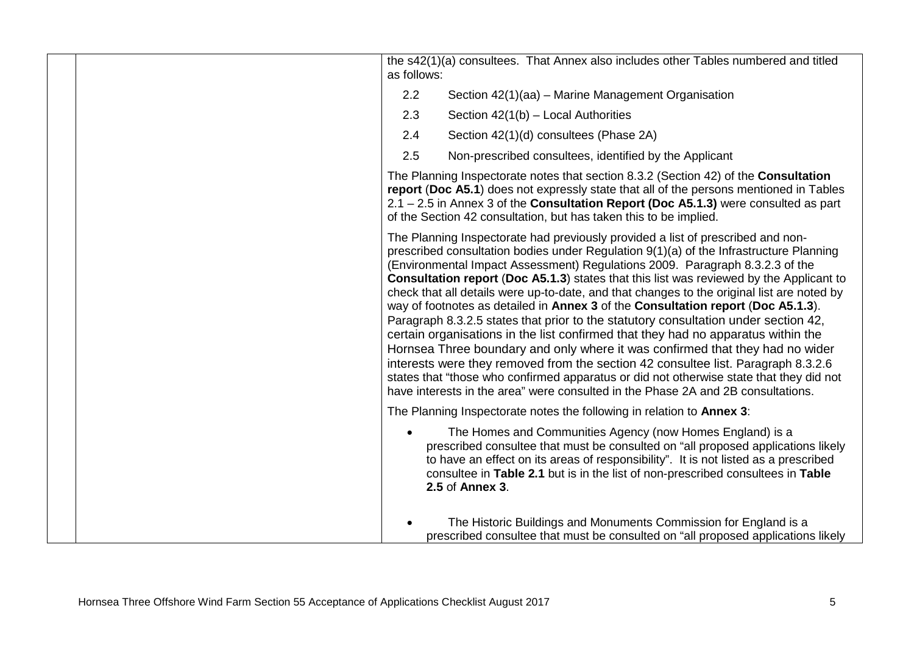|  | the s42(1)(a) consultees. That Annex also includes other Tables numbered and titled<br>as follows:<br>2.2<br>Section 42(1)(aa) – Marine Management Organisation                                                                                                                                                                                                                                                                                                                                                                                                                                                                                                                                                                                                                                                                                                                                                                                                                                                                                                                |
|--|--------------------------------------------------------------------------------------------------------------------------------------------------------------------------------------------------------------------------------------------------------------------------------------------------------------------------------------------------------------------------------------------------------------------------------------------------------------------------------------------------------------------------------------------------------------------------------------------------------------------------------------------------------------------------------------------------------------------------------------------------------------------------------------------------------------------------------------------------------------------------------------------------------------------------------------------------------------------------------------------------------------------------------------------------------------------------------|
|  | 2.3<br>Section 42(1(b) - Local Authorities                                                                                                                                                                                                                                                                                                                                                                                                                                                                                                                                                                                                                                                                                                                                                                                                                                                                                                                                                                                                                                     |
|  | 2.4<br>Section 42(1)(d) consultees (Phase 2A)                                                                                                                                                                                                                                                                                                                                                                                                                                                                                                                                                                                                                                                                                                                                                                                                                                                                                                                                                                                                                                  |
|  | 2.5<br>Non-prescribed consultees, identified by the Applicant                                                                                                                                                                                                                                                                                                                                                                                                                                                                                                                                                                                                                                                                                                                                                                                                                                                                                                                                                                                                                  |
|  | The Planning Inspectorate notes that section 8.3.2 (Section 42) of the <b>Consultation</b><br>report (Doc A5.1) does not expressly state that all of the persons mentioned in Tables<br>$2.1 - 2.5$ in Annex 3 of the Consultation Report (Doc A5.1.3) were consulted as part<br>of the Section 42 consultation, but has taken this to be implied.                                                                                                                                                                                                                                                                                                                                                                                                                                                                                                                                                                                                                                                                                                                             |
|  | The Planning Inspectorate had previously provided a list of prescribed and non-<br>prescribed consultation bodies under Regulation 9(1)(a) of the Infrastructure Planning<br>(Environmental Impact Assessment) Regulations 2009. Paragraph 8.3.2.3 of the<br><b>Consultation report (Doc A5.1.3)</b> states that this list was reviewed by the Applicant to<br>check that all details were up-to-date, and that changes to the original list are noted by<br>way of footnotes as detailed in Annex 3 of the Consultation report (Doc A5.1.3).<br>Paragraph 8.3.2.5 states that prior to the statutory consultation under section 42,<br>certain organisations in the list confirmed that they had no apparatus within the<br>Hornsea Three boundary and only where it was confirmed that they had no wider<br>interests were they removed from the section 42 consultee list. Paragraph 8.3.2.6<br>states that "those who confirmed apparatus or did not otherwise state that they did not<br>have interests in the area" were consulted in the Phase 2A and 2B consultations. |
|  | The Planning Inspectorate notes the following in relation to Annex 3:                                                                                                                                                                                                                                                                                                                                                                                                                                                                                                                                                                                                                                                                                                                                                                                                                                                                                                                                                                                                          |
|  | The Homes and Communities Agency (now Homes England) is a<br>$\bullet$<br>prescribed consultee that must be consulted on "all proposed applications likely<br>to have an effect on its areas of responsibility". It is not listed as a prescribed<br>consultee in Table 2.1 but is in the list of non-prescribed consultees in Table<br>2.5 of Annex 3.                                                                                                                                                                                                                                                                                                                                                                                                                                                                                                                                                                                                                                                                                                                        |
|  | The Historic Buildings and Monuments Commission for England is a<br>prescribed consultee that must be consulted on "all proposed applications likely                                                                                                                                                                                                                                                                                                                                                                                                                                                                                                                                                                                                                                                                                                                                                                                                                                                                                                                           |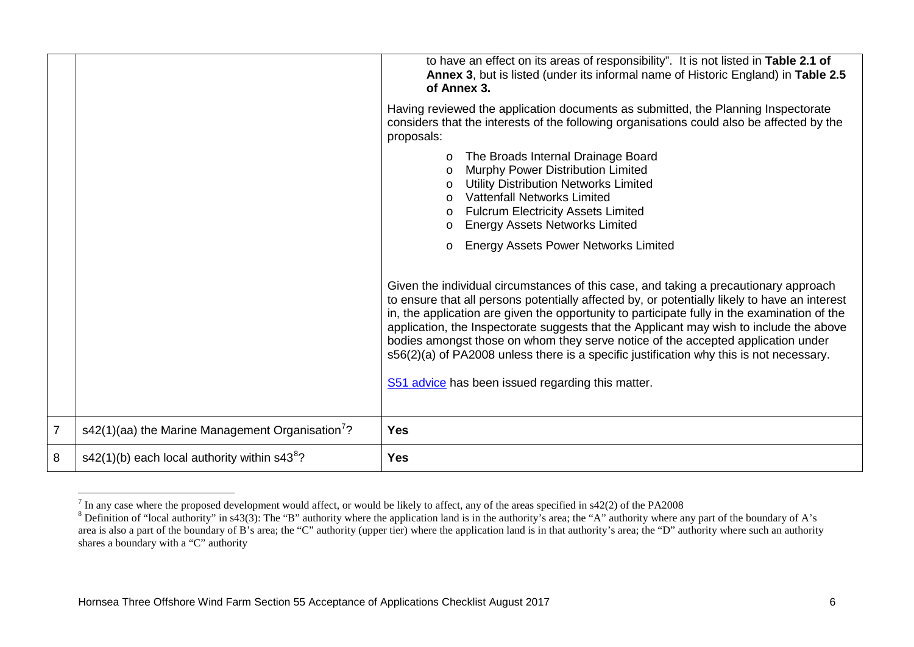<span id="page-7-1"></span><span id="page-7-0"></span>

|                |                                                              | to have an effect on its areas of responsibility". It is not listed in Table 2.1 of<br>Annex 3, but is listed (under its informal name of Historic England) in Table 2.5<br>of Annex 3.                                                                                                                                                                                                                                                                                                                                                                                                                              |
|----------------|--------------------------------------------------------------|----------------------------------------------------------------------------------------------------------------------------------------------------------------------------------------------------------------------------------------------------------------------------------------------------------------------------------------------------------------------------------------------------------------------------------------------------------------------------------------------------------------------------------------------------------------------------------------------------------------------|
|                |                                                              | Having reviewed the application documents as submitted, the Planning Inspectorate<br>considers that the interests of the following organisations could also be affected by the<br>proposals:                                                                                                                                                                                                                                                                                                                                                                                                                         |
|                |                                                              | The Broads Internal Drainage Board<br>$\circ$<br>Murphy Power Distribution Limited<br>$\Omega$<br><b>Utility Distribution Networks Limited</b><br><b>Vattenfall Networks Limited</b><br><b>Fulcrum Electricity Assets Limited</b><br><b>Energy Assets Networks Limited</b><br>$\circ$                                                                                                                                                                                                                                                                                                                                |
|                |                                                              | <b>Energy Assets Power Networks Limited</b><br>$\circ$                                                                                                                                                                                                                                                                                                                                                                                                                                                                                                                                                               |
|                |                                                              | Given the individual circumstances of this case, and taking a precautionary approach<br>to ensure that all persons potentially affected by, or potentially likely to have an interest<br>in, the application are given the opportunity to participate fully in the examination of the<br>application, the Inspectorate suggests that the Applicant may wish to include the above<br>bodies amongst those on whom they serve notice of the accepted application under<br>s56(2)(a) of PA2008 unless there is a specific justification why this is not necessary.<br>S51 advice has been issued regarding this matter. |
| $\overline{7}$ | s42(1)(aa) the Marine Management Organisation <sup>7</sup> ? | <b>Yes</b>                                                                                                                                                                                                                                                                                                                                                                                                                                                                                                                                                                                                           |
| 8              | $s42(1)(b)$ each local authority within $s438$ ?             | <b>Yes</b>                                                                                                                                                                                                                                                                                                                                                                                                                                                                                                                                                                                                           |

 $\frac{7}{1}$  In any case where the proposed development would affect, or would be likely to affect, any of the areas specified in s42(2) of the PA2008

<sup>&</sup>lt;sup>8</sup> Definition of "local authority" in s43(3): The "B" authority where the application land is in the authority's area; the "A" authority where any part of the boundary of A's area is also a part of the boundary of B's area; the "C" authority (upper tier) where the application land is in that authority's area; the "D" authority where such an authority shares a boundary with a "C" authority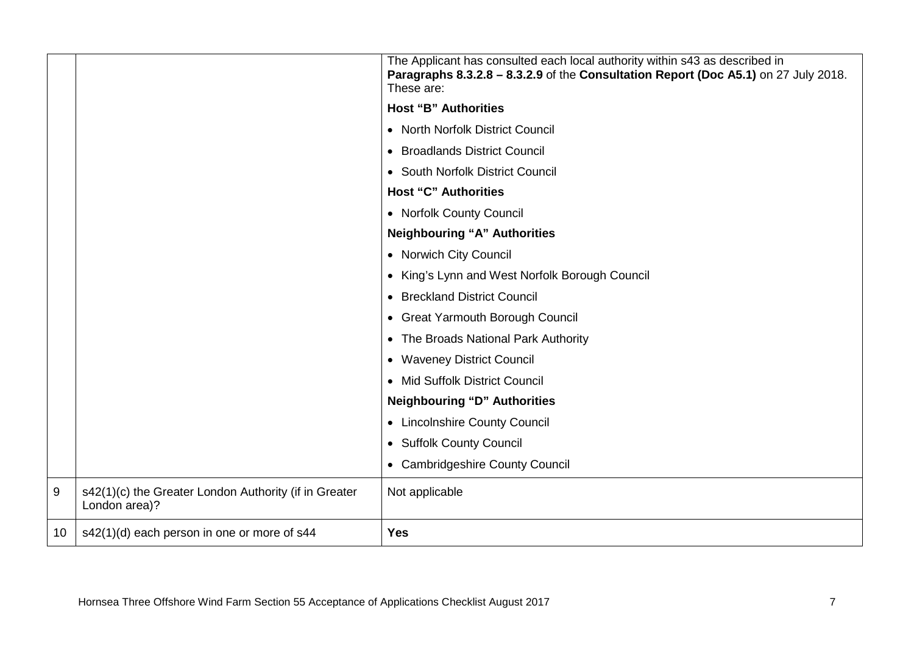|    |                                                                        | The Applicant has consulted each local authority within s43 as described in<br>Paragraphs 8.3.2.8 - 8.3.2.9 of the Consultation Report (Doc A5.1) on 27 July 2018.<br>These are: |  |
|----|------------------------------------------------------------------------|----------------------------------------------------------------------------------------------------------------------------------------------------------------------------------|--|
|    |                                                                        | <b>Host "B" Authorities</b>                                                                                                                                                      |  |
|    |                                                                        | • North Norfolk District Council                                                                                                                                                 |  |
|    |                                                                        | • Broadlands District Council                                                                                                                                                    |  |
|    |                                                                        | • South Norfolk District Council                                                                                                                                                 |  |
|    |                                                                        | <b>Host "C" Authorities</b>                                                                                                                                                      |  |
|    |                                                                        | • Norfolk County Council                                                                                                                                                         |  |
|    |                                                                        | <b>Neighbouring "A" Authorities</b>                                                                                                                                              |  |
|    |                                                                        | • Norwich City Council                                                                                                                                                           |  |
|    |                                                                        | • King's Lynn and West Norfolk Borough Council                                                                                                                                   |  |
|    |                                                                        | • Breckland District Council                                                                                                                                                     |  |
|    |                                                                        | • Great Yarmouth Borough Council                                                                                                                                                 |  |
|    |                                                                        | • The Broads National Park Authority                                                                                                                                             |  |
|    |                                                                        | • Waveney District Council                                                                                                                                                       |  |
|    |                                                                        | • Mid Suffolk District Council                                                                                                                                                   |  |
|    |                                                                        | <b>Neighbouring "D" Authorities</b>                                                                                                                                              |  |
|    |                                                                        | • Lincolnshire County Council                                                                                                                                                    |  |
|    |                                                                        | • Suffolk County Council                                                                                                                                                         |  |
|    |                                                                        | • Cambridgeshire County Council                                                                                                                                                  |  |
| 9  | s42(1)(c) the Greater London Authority (if in Greater<br>London area)? | Not applicable                                                                                                                                                                   |  |
| 10 | s42(1)(d) each person in one or more of s44                            | <b>Yes</b>                                                                                                                                                                       |  |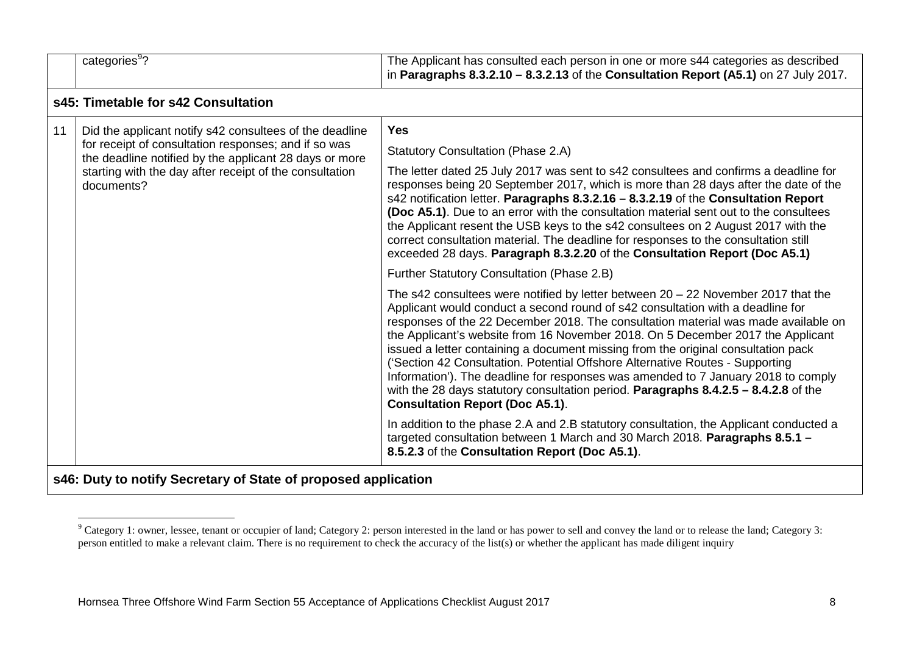<span id="page-9-0"></span>

|                                                                                                                                                                                 | categories <sup>9</sup> ?                                             | The Applicant has consulted each person in one or more s44 categories as described<br>in Paragraphs $8.3.2.10 - 8.3.2.13$ of the Consultation Report (A5.1) on 27 July 2017.                                                                                                                                                                                                                                                                                                                                                                                                                                                                                                                                                                 |  |  |  |  |  |
|---------------------------------------------------------------------------------------------------------------------------------------------------------------------------------|-----------------------------------------------------------------------|----------------------------------------------------------------------------------------------------------------------------------------------------------------------------------------------------------------------------------------------------------------------------------------------------------------------------------------------------------------------------------------------------------------------------------------------------------------------------------------------------------------------------------------------------------------------------------------------------------------------------------------------------------------------------------------------------------------------------------------------|--|--|--|--|--|
|                                                                                                                                                                                 | s45: Timetable for s42 Consultation                                   |                                                                                                                                                                                                                                                                                                                                                                                                                                                                                                                                                                                                                                                                                                                                              |  |  |  |  |  |
| 11<br>Did the applicant notify s42 consultees of the deadline<br>for receipt of consultation responses; and if so was<br>the deadline notified by the applicant 28 days or more | <b>Yes</b><br><b>Statutory Consultation (Phase 2.A)</b>               |                                                                                                                                                                                                                                                                                                                                                                                                                                                                                                                                                                                                                                                                                                                                              |  |  |  |  |  |
|                                                                                                                                                                                 | starting with the day after receipt of the consultation<br>documents? | The letter dated 25 July 2017 was sent to s42 consultees and confirms a deadline for<br>responses being 20 September 2017, which is more than 28 days after the date of the<br>s42 notification letter. Paragraphs 8.3.2.16 - 8.3.2.19 of the Consultation Report<br>(Doc A5.1). Due to an error with the consultation material sent out to the consultees<br>the Applicant resent the USB keys to the s42 consultees on 2 August 2017 with the<br>correct consultation material. The deadline for responses to the consultation still<br>exceeded 28 days. Paragraph 8.3.2.20 of the Consultation Report (Doc A5.1)                                                                                                                         |  |  |  |  |  |
|                                                                                                                                                                                 |                                                                       | Further Statutory Consultation (Phase 2.B)                                                                                                                                                                                                                                                                                                                                                                                                                                                                                                                                                                                                                                                                                                   |  |  |  |  |  |
|                                                                                                                                                                                 |                                                                       | The s42 consultees were notified by letter between $20 - 22$ November 2017 that the<br>Applicant would conduct a second round of s42 consultation with a deadline for<br>responses of the 22 December 2018. The consultation material was made available on<br>the Applicant's website from 16 November 2018. On 5 December 2017 the Applicant<br>issued a letter containing a document missing from the original consultation pack<br>('Section 42 Consultation. Potential Offshore Alternative Routes - Supporting<br>Information'). The deadline for responses was amended to 7 January 2018 to comply<br>with the 28 days statutory consultation period. Paragraphs $8.4.2.5 - 8.4.2.8$ of the<br><b>Consultation Report (Doc A5.1).</b> |  |  |  |  |  |
|                                                                                                                                                                                 |                                                                       | In addition to the phase 2.A and 2.B statutory consultation, the Applicant conducted a<br>targeted consultation between 1 March and 30 March 2018. Paragraphs 8.5.1 -<br>8.5.2.3 of the Consultation Report (Doc A5.1).                                                                                                                                                                                                                                                                                                                                                                                                                                                                                                                      |  |  |  |  |  |
|                                                                                                                                                                                 | s46: Duty to notify Secretary of State of proposed application        |                                                                                                                                                                                                                                                                                                                                                                                                                                                                                                                                                                                                                                                                                                                                              |  |  |  |  |  |

<u>.</u>

 $^9$  Category 1: owner, lessee, tenant or occupier of land; Category 2: person interested in the land or has power to sell and convey the land or to release the land; Category 3: person entitled to make a relevant claim. There is no requirement to check the accuracy of the list(s) or whether the applicant has made diligent inquiry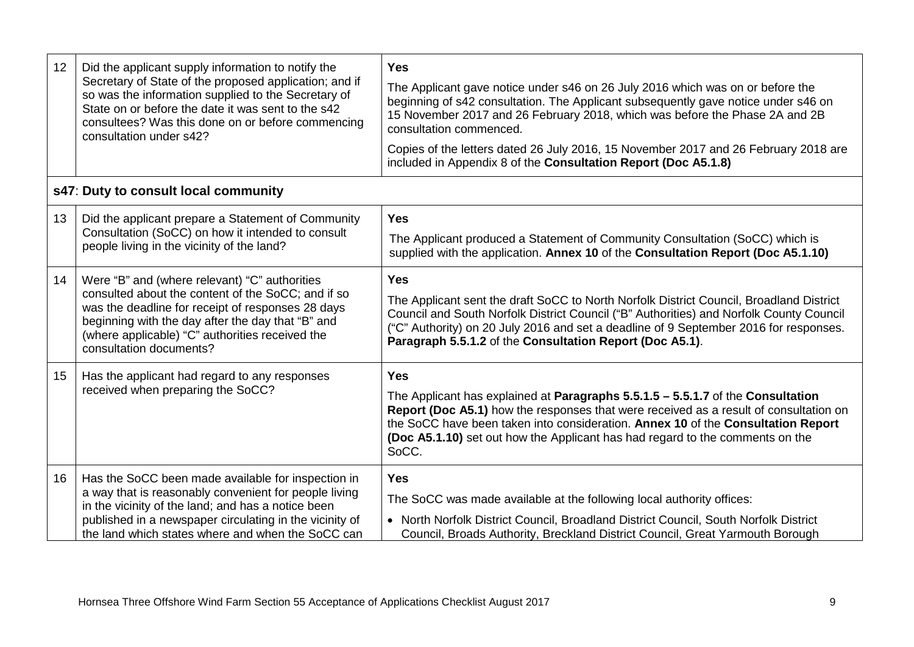| 12 | Did the applicant supply information to notify the<br>Secretary of State of the proposed application; and if<br>so was the information supplied to the Secretary of<br>State on or before the date it was sent to the s42<br>consultees? Was this done on or before commencing<br>consultation under s42? | <b>Yes</b><br>The Applicant gave notice under s46 on 26 July 2016 which was on or before the<br>beginning of s42 consultation. The Applicant subsequently gave notice under s46 on<br>15 November 2017 and 26 February 2018, which was before the Phase 2A and 2B<br>consultation commenced.<br>Copies of the letters dated 26 July 2016, 15 November 2017 and 26 February 2018 are<br>included in Appendix 8 of the Consultation Report (Doc A5.1.8) |
|----|-----------------------------------------------------------------------------------------------------------------------------------------------------------------------------------------------------------------------------------------------------------------------------------------------------------|-------------------------------------------------------------------------------------------------------------------------------------------------------------------------------------------------------------------------------------------------------------------------------------------------------------------------------------------------------------------------------------------------------------------------------------------------------|
|    | s47: Duty to consult local community                                                                                                                                                                                                                                                                      |                                                                                                                                                                                                                                                                                                                                                                                                                                                       |
| 13 | Did the applicant prepare a Statement of Community<br>Consultation (SoCC) on how it intended to consult<br>people living in the vicinity of the land?                                                                                                                                                     | <b>Yes</b><br>The Applicant produced a Statement of Community Consultation (SoCC) which is<br>supplied with the application. Annex 10 of the Consultation Report (Doc A5.1.10)                                                                                                                                                                                                                                                                        |
| 14 | Were "B" and (where relevant) "C" authorities<br>consulted about the content of the SoCC; and if so<br>was the deadline for receipt of responses 28 days<br>beginning with the day after the day that "B" and<br>(where applicable) "C" authorities received the<br>consultation documents?               | <b>Yes</b><br>The Applicant sent the draft SoCC to North Norfolk District Council, Broadland District<br>Council and South Norfolk District Council ("B" Authorities) and Norfolk County Council<br>("C" Authority) on 20 July 2016 and set a deadline of 9 September 2016 for responses.<br>Paragraph 5.5.1.2 of the Consultation Report (Doc A5.1).                                                                                                 |
| 15 | Has the applicant had regard to any responses<br>received when preparing the SoCC?                                                                                                                                                                                                                        | <b>Yes</b><br>The Applicant has explained at Paragraphs 5.5.1.5 - 5.5.1.7 of the Consultation<br>Report (Doc A5.1) how the responses that were received as a result of consultation on<br>the SoCC have been taken into consideration. Annex 10 of the Consultation Report<br>(Doc A5.1.10) set out how the Applicant has had regard to the comments on the<br>SoCC.                                                                                  |
| 16 | Has the SoCC been made available for inspection in<br>a way that is reasonably convenient for people living<br>in the vicinity of the land; and has a notice been<br>published in a newspaper circulating in the vicinity of<br>the land which states where and when the SoCC can                         | <b>Yes</b><br>The SoCC was made available at the following local authority offices:<br>• North Norfolk District Council, Broadland District Council, South Norfolk District<br>Council, Broads Authority, Breckland District Council, Great Yarmouth Borough                                                                                                                                                                                          |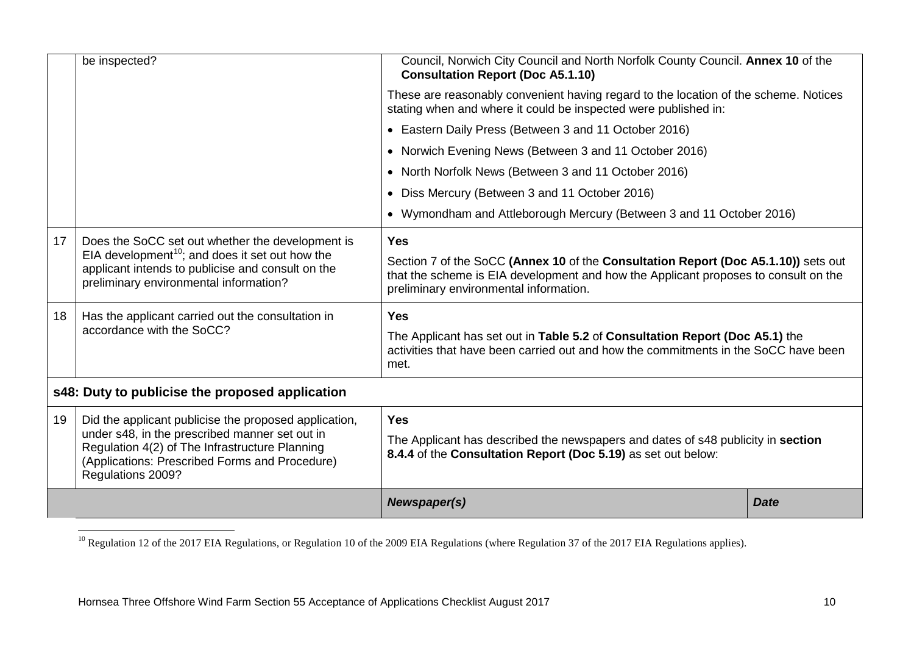<span id="page-11-0"></span>

|    | be inspected?                                                                                                                                                                                                                    | Council, Norwich City Council and North Norfolk County Council. Annex 10 of the<br><b>Consultation Report (Doc A5.1.10)</b>                                                                                         |             |  |  |  |
|----|----------------------------------------------------------------------------------------------------------------------------------------------------------------------------------------------------------------------------------|---------------------------------------------------------------------------------------------------------------------------------------------------------------------------------------------------------------------|-------------|--|--|--|
|    |                                                                                                                                                                                                                                  | These are reasonably convenient having regard to the location of the scheme. Notices<br>stating when and where it could be inspected were published in:                                                             |             |  |  |  |
|    |                                                                                                                                                                                                                                  | • Eastern Daily Press (Between 3 and 11 October 2016)                                                                                                                                                               |             |  |  |  |
|    |                                                                                                                                                                                                                                  | • Norwich Evening News (Between 3 and 11 October 2016)                                                                                                                                                              |             |  |  |  |
|    |                                                                                                                                                                                                                                  | • North Norfolk News (Between 3 and 11 October 2016)                                                                                                                                                                |             |  |  |  |
|    |                                                                                                                                                                                                                                  | • Diss Mercury (Between 3 and 11 October 2016)                                                                                                                                                                      |             |  |  |  |
|    |                                                                                                                                                                                                                                  | • Wymondham and Attleborough Mercury (Between 3 and 11 October 2016)                                                                                                                                                |             |  |  |  |
| 17 | Does the SoCC set out whether the development is                                                                                                                                                                                 | <b>Yes</b>                                                                                                                                                                                                          |             |  |  |  |
|    | EIA development <sup>10</sup> ; and does it set out how the<br>applicant intends to publicise and consult on the<br>preliminary environmental information?                                                                       | Section 7 of the SoCC (Annex 10 of the Consultation Report (Doc A5.1.10)) sets out<br>that the scheme is EIA development and how the Applicant proposes to consult on the<br>preliminary environmental information. |             |  |  |  |
| 18 | Has the applicant carried out the consultation in<br>accordance with the SoCC?                                                                                                                                                   | <b>Yes</b><br>The Applicant has set out in Table 5.2 of Consultation Report (Doc A5.1) the<br>activities that have been carried out and how the commitments in the SoCC have been<br>met.                           |             |  |  |  |
|    | s48: Duty to publicise the proposed application                                                                                                                                                                                  |                                                                                                                                                                                                                     |             |  |  |  |
| 19 | Did the applicant publicise the proposed application,<br>under s48, in the prescribed manner set out in<br>Regulation 4(2) of The Infrastructure Planning<br>(Applications: Prescribed Forms and Procedure)<br>Regulations 2009? | <b>Yes</b><br>The Applicant has described the newspapers and dates of s48 publicity in section<br>8.4.4 of the Consultation Report (Doc 5.19) as set out below:                                                     |             |  |  |  |
|    |                                                                                                                                                                                                                                  | Newspaper(s)                                                                                                                                                                                                        | <b>Date</b> |  |  |  |

 $^{10}$  Regulation 12 of the 2017 EIA Regulations, or Regulation 10 of the 2009 EIA Regulations (where Regulation 37 of the 2017 EIA Regulations applies).

-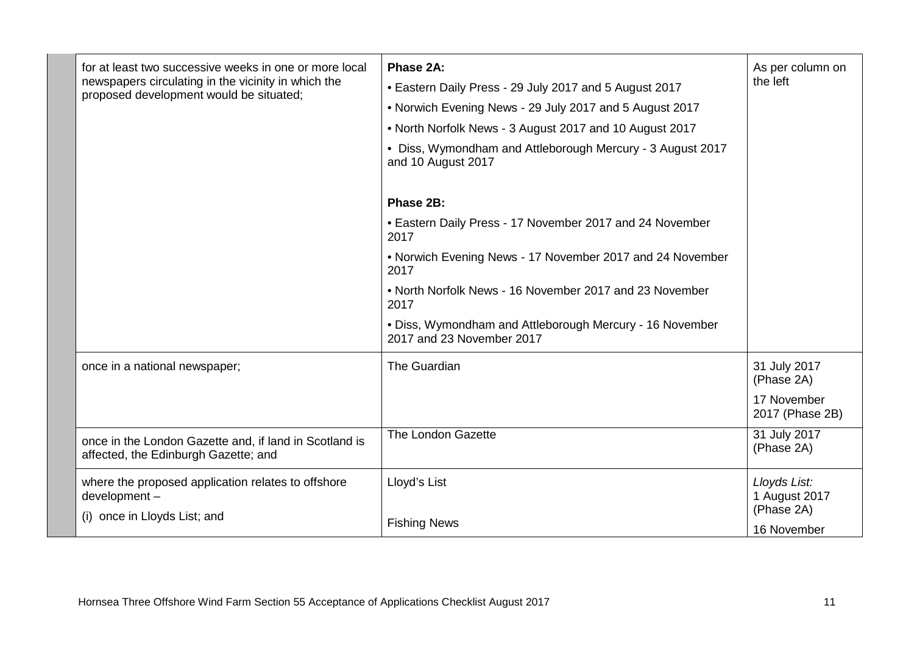| for at least two successive weeks in one or more local<br>newspapers circulating in the vicinity in which the<br>proposed development would be situated; | Phase 2A:<br>• Eastern Daily Press - 29 July 2017 and 5 August 2017<br>• Norwich Evening News - 29 July 2017 and 5 August 2017<br>. North Norfolk News - 3 August 2017 and 10 August 2017<br>• Diss, Wymondham and Attleborough Mercury - 3 August 2017<br>and 10 August 2017                                  | As per column on<br>the left                                                 |
|----------------------------------------------------------------------------------------------------------------------------------------------------------|----------------------------------------------------------------------------------------------------------------------------------------------------------------------------------------------------------------------------------------------------------------------------------------------------------------|------------------------------------------------------------------------------|
|                                                                                                                                                          | Phase 2B:<br>• Eastern Daily Press - 17 November 2017 and 24 November<br>2017<br>• Norwich Evening News - 17 November 2017 and 24 November<br>2017<br>• North Norfolk News - 16 November 2017 and 23 November<br>2017<br>. Diss, Wymondham and Attleborough Mercury - 16 November<br>2017 and 23 November 2017 |                                                                              |
| once in a national newspaper;                                                                                                                            | The Guardian<br>The London Gazette                                                                                                                                                                                                                                                                             | 31 July 2017<br>(Phase 2A)<br>17 November<br>2017 (Phase 2B)<br>31 July 2017 |
| once in the London Gazette and, if land in Scotland is<br>affected, the Edinburgh Gazette; and                                                           |                                                                                                                                                                                                                                                                                                                | (Phase 2A)                                                                   |
| where the proposed application relates to offshore<br>development-<br>(i) once in Lloyds List; and                                                       | Lloyd's List<br><b>Fishing News</b>                                                                                                                                                                                                                                                                            | Lloyds List:<br>1 August 2017<br>(Phase 2A)<br>16 November                   |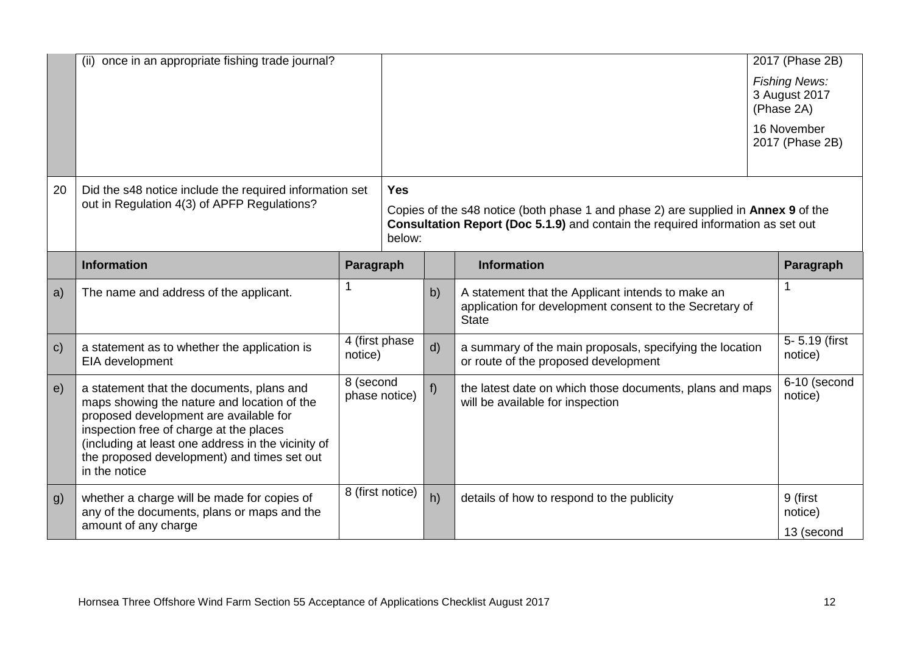|              | (ii) once in an appropriate fishing trade journal?                                                                                                                                                                                                                                                  |                            |            |                                                                                                                                                                       |                                                                                                                              |  | 2017 (Phase 2B)                                     |  |
|--------------|-----------------------------------------------------------------------------------------------------------------------------------------------------------------------------------------------------------------------------------------------------------------------------------------------------|----------------------------|------------|-----------------------------------------------------------------------------------------------------------------------------------------------------------------------|------------------------------------------------------------------------------------------------------------------------------|--|-----------------------------------------------------|--|
|              |                                                                                                                                                                                                                                                                                                     |                            |            |                                                                                                                                                                       |                                                                                                                              |  | <b>Fishing News:</b><br>3 August 2017<br>(Phase 2A) |  |
|              |                                                                                                                                                                                                                                                                                                     |                            |            |                                                                                                                                                                       |                                                                                                                              |  | 16 November<br>2017 (Phase 2B)                      |  |
| 20           | Did the s48 notice include the required information set                                                                                                                                                                                                                                             |                            | <b>Yes</b> |                                                                                                                                                                       |                                                                                                                              |  |                                                     |  |
|              | out in Regulation 4(3) of APFP Regulations?                                                                                                                                                                                                                                                         |                            | below:     | Copies of the s48 notice (both phase 1 and phase 2) are supplied in Annex 9 of the<br>Consultation Report (Doc 5.1.9) and contain the required information as set out |                                                                                                                              |  |                                                     |  |
|              | <b>Information</b>                                                                                                                                                                                                                                                                                  | Paragraph                  |            |                                                                                                                                                                       | <b>Information</b>                                                                                                           |  | Paragraph                                           |  |
| a)           | The name and address of the applicant.                                                                                                                                                                                                                                                              |                            |            | b)                                                                                                                                                                    | A statement that the Applicant intends to make an<br>application for development consent to the Secretary of<br><b>State</b> |  | $\mathbf 1$                                         |  |
| $\mathbf{C}$ | a statement as to whether the application is<br>EIA development                                                                                                                                                                                                                                     | 4 (first phase<br>notice)  |            | d)                                                                                                                                                                    | a summary of the main proposals, specifying the location<br>or route of the proposed development                             |  | 5-5.19 (first<br>notice)                            |  |
| e)           | a statement that the documents, plans and<br>maps showing the nature and location of the<br>proposed development are available for<br>inspection free of charge at the places<br>(including at least one address in the vicinity of<br>the proposed development) and times set out<br>in the notice | 8 (second<br>phase notice) |            | f)                                                                                                                                                                    | the latest date on which those documents, plans and maps<br>will be available for inspection                                 |  | 6-10 (second<br>notice)                             |  |
| g)           | whether a charge will be made for copies of<br>any of the documents, plans or maps and the<br>amount of any charge                                                                                                                                                                                  | 8 (first notice)           |            | h)                                                                                                                                                                    | details of how to respond to the publicity                                                                                   |  | 9 (first<br>notice)<br>13 (second                   |  |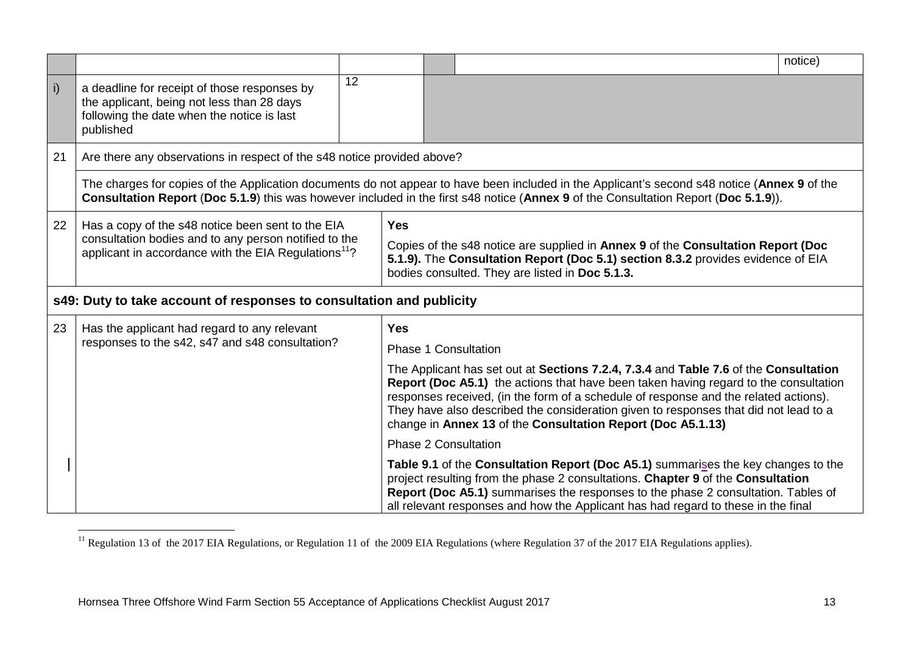<span id="page-14-0"></span>

|    |                                                                                                                                                                                |    |                                                                                                                                                                                                                                       |                                                                                                                                                                                                                                                                                                                                                                                                                             | notice) |
|----|--------------------------------------------------------------------------------------------------------------------------------------------------------------------------------|----|---------------------------------------------------------------------------------------------------------------------------------------------------------------------------------------------------------------------------------------|-----------------------------------------------------------------------------------------------------------------------------------------------------------------------------------------------------------------------------------------------------------------------------------------------------------------------------------------------------------------------------------------------------------------------------|---------|
| i) | a deadline for receipt of those responses by<br>the applicant, being not less than 28 days<br>following the date when the notice is last<br>published                          | 12 |                                                                                                                                                                                                                                       |                                                                                                                                                                                                                                                                                                                                                                                                                             |         |
| 21 | Are there any observations in respect of the s48 notice provided above?                                                                                                        |    |                                                                                                                                                                                                                                       |                                                                                                                                                                                                                                                                                                                                                                                                                             |         |
|    |                                                                                                                                                                                |    |                                                                                                                                                                                                                                       | The charges for copies of the Application documents do not appear to have been included in the Applicant's second s48 notice (Annex 9 of the<br>Consultation Report (Doc 5.1.9) this was however included in the first s48 notice (Annex 9 of the Consultation Report (Doc 5.1.9)).                                                                                                                                         |         |
| 22 | Has a copy of the s48 notice been sent to the EIA<br>consultation bodies and to any person notified to the<br>applicant in accordance with the EIA Regulations <sup>11</sup> ? |    | <b>Yes</b><br>Copies of the s48 notice are supplied in Annex 9 of the Consultation Report (Doc<br>5.1.9). The Consultation Report (Doc 5.1) section 8.3.2 provides evidence of EIA<br>bodies consulted. They are listed in Doc 5.1.3. |                                                                                                                                                                                                                                                                                                                                                                                                                             |         |
|    | s49: Duty to take account of responses to consultation and publicity                                                                                                           |    |                                                                                                                                                                                                                                       |                                                                                                                                                                                                                                                                                                                                                                                                                             |         |
| 23 | Has the applicant had regard to any relevant                                                                                                                                   |    | <b>Yes</b>                                                                                                                                                                                                                            |                                                                                                                                                                                                                                                                                                                                                                                                                             |         |
|    | responses to the s42, s47 and s48 consultation?                                                                                                                                |    |                                                                                                                                                                                                                                       | <b>Phase 1 Consultation</b>                                                                                                                                                                                                                                                                                                                                                                                                 |         |
|    |                                                                                                                                                                                |    |                                                                                                                                                                                                                                       | The Applicant has set out at Sections 7.2.4, 7.3.4 and Table 7.6 of the Consultation<br>Report (Doc A5.1) the actions that have been taken having regard to the consultation<br>responses received, (in the form of a schedule of response and the related actions).<br>They have also described the consideration given to responses that did not lead to a<br>change in Annex 13 of the Consultation Report (Doc A5.1.13) |         |
|    |                                                                                                                                                                                |    |                                                                                                                                                                                                                                       | <b>Phase 2 Consultation</b>                                                                                                                                                                                                                                                                                                                                                                                                 |         |
|    |                                                                                                                                                                                |    |                                                                                                                                                                                                                                       | Table 9.1 of the Consultation Report (Doc A5.1) summarises the key changes to the<br>project resulting from the phase 2 consultations. Chapter 9 of the Consultation<br>Report (Doc A5.1) summarises the responses to the phase 2 consultation. Tables of<br>all relevant responses and how the Applicant has had regard to these in the final                                                                              |         |

<sup>&</sup>lt;sup>11</sup> Regulation 13 of the 2017 EIA Regulations, or Regulation 11 of the 2009 EIA Regulations (where Regulation 37 of the 2017 EIA Regulations applies). -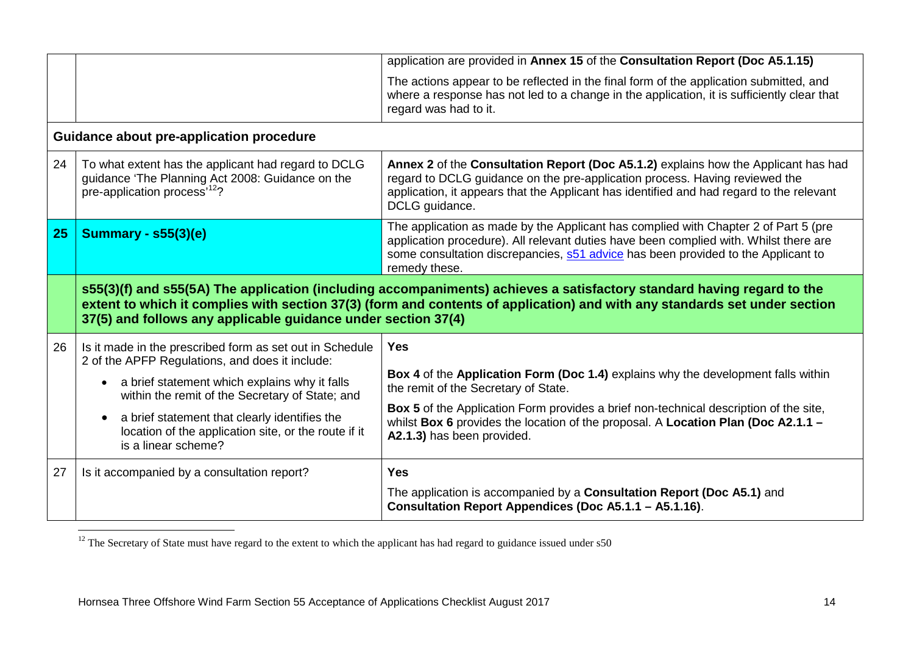<span id="page-15-0"></span>

|    |                                                                                                                                                     | application are provided in Annex 15 of the Consultation Report (Doc A5.1.15)                                                                                                                                                                                                      |
|----|-----------------------------------------------------------------------------------------------------------------------------------------------------|------------------------------------------------------------------------------------------------------------------------------------------------------------------------------------------------------------------------------------------------------------------------------------|
|    |                                                                                                                                                     | The actions appear to be reflected in the final form of the application submitted, and<br>where a response has not led to a change in the application, it is sufficiently clear that<br>regard was had to it.                                                                      |
|    | Guidance about pre-application procedure                                                                                                            |                                                                                                                                                                                                                                                                                    |
| 24 | To what extent has the applicant had regard to DCLG<br>guidance 'The Planning Act 2008: Guidance on the<br>pre-application process' <sup>12</sup> ? | Annex 2 of the Consultation Report (Doc A5.1.2) explains how the Applicant has had<br>regard to DCLG guidance on the pre-application process. Having reviewed the<br>application, it appears that the Applicant has identified and had regard to the relevant<br>DCLG guidance.    |
| 25 | Summary - $s55(3)(e)$                                                                                                                               | The application as made by the Applicant has complied with Chapter 2 of Part 5 (pre<br>application procedure). All relevant duties have been complied with. Whilst there are<br>some consultation discrepancies, s51 advice has been provided to the Applicant to<br>remedy these. |
|    | 37(5) and follows any applicable guidance under section 37(4)                                                                                       | s55(3)(f) and s55(5A) The application (including accompaniments) achieves a satisfactory standard having regard to the<br>extent to which it complies with section 37(3) (form and contents of application) and with any standards set under section                               |
| 26 | Is it made in the prescribed form as set out in Schedule<br>2 of the APFP Regulations, and does it include:                                         | <b>Yes</b>                                                                                                                                                                                                                                                                         |
|    | a brief statement which explains why it falls<br>within the remit of the Secretary of State; and                                                    | Box 4 of the Application Form (Doc 1.4) explains why the development falls within<br>the remit of the Secretary of State.                                                                                                                                                          |
|    | a brief statement that clearly identifies the<br>location of the application site, or the route if it<br>is a linear scheme?                        | <b>Box 5</b> of the Application Form provides a brief non-technical description of the site,<br>whilst Box 6 provides the location of the proposal. A Location Plan (Doc A2.1.1 -<br>A2.1.3) has been provided.                                                                    |
| 27 | Is it accompanied by a consultation report?                                                                                                         | <b>Yes</b>                                                                                                                                                                                                                                                                         |
|    |                                                                                                                                                     | The application is accompanied by a Consultation Report (Doc A5.1) and<br>Consultation Report Appendices (Doc A5.1.1 - A5.1.16).                                                                                                                                                   |

 $12$  The Secretary of State must have regard to the extent to which the applicant has had regard to guidance issued under  $s50$ -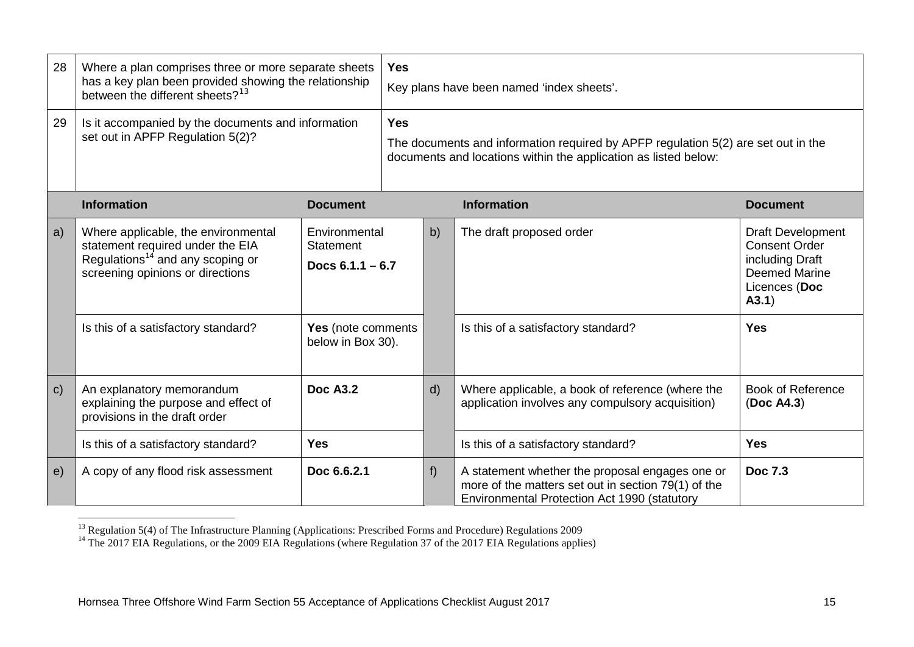<span id="page-16-1"></span><span id="page-16-0"></span>

| 28           | Where a plan comprises three or more separate sheets<br>has a key plan been provided showing the relationship<br>between the different sheets? <sup>13</sup> |                                                         | <b>Yes</b><br>Key plans have been named 'index sheets'.                                                                                                            |              |                                                                                                                                                        |                                                                                                                        |
|--------------|--------------------------------------------------------------------------------------------------------------------------------------------------------------|---------------------------------------------------------|--------------------------------------------------------------------------------------------------------------------------------------------------------------------|--------------|--------------------------------------------------------------------------------------------------------------------------------------------------------|------------------------------------------------------------------------------------------------------------------------|
| 29           | Is it accompanied by the documents and information<br>set out in APFP Regulation 5(2)?                                                                       |                                                         | <b>Yes</b><br>The documents and information required by APFP regulation 5(2) are set out in the<br>documents and locations within the application as listed below: |              |                                                                                                                                                        |                                                                                                                        |
|              | <b>Information</b><br><b>Document</b>                                                                                                                        |                                                         |                                                                                                                                                                    |              | <b>Information</b>                                                                                                                                     | <b>Document</b>                                                                                                        |
| a)           | Where applicable, the environmental<br>statement required under the EIA<br>Regulations <sup>14</sup> and any scoping or<br>screening opinions or directions  | Environmental<br><b>Statement</b><br>Docs $6.1.1 - 6.7$ |                                                                                                                                                                    | b)           | The draft proposed order                                                                                                                               | <b>Draft Development</b><br><b>Consent Order</b><br>including Draft<br><b>Deemed Marine</b><br>Licences (Doc<br>(A3.1) |
|              | Is this of a satisfactory standard?                                                                                                                          | Yes (note comments<br>below in Box 30).                 |                                                                                                                                                                    |              | Is this of a satisfactory standard?                                                                                                                    | <b>Yes</b>                                                                                                             |
| $\mathbf{C}$ | An explanatory memorandum<br>explaining the purpose and effect of<br>provisions in the draft order                                                           | <b>Doc A3.2</b>                                         |                                                                                                                                                                    | $\mathsf{d}$ | Where applicable, a book of reference (where the<br>application involves any compulsory acquisition)                                                   | <b>Book of Reference</b><br>(Doc A4.3)                                                                                 |
|              | Is this of a satisfactory standard?                                                                                                                          | <b>Yes</b>                                              |                                                                                                                                                                    |              | Is this of a satisfactory standard?                                                                                                                    | <b>Yes</b>                                                                                                             |
| e)           | A copy of any flood risk assessment                                                                                                                          | Doc 6.6.2.1                                             |                                                                                                                                                                    | $f$ )        | A statement whether the proposal engages one or<br>more of the matters set out in section 79(1) of the<br>Environmental Protection Act 1990 (statutory | Doc 7.3                                                                                                                |

<u>.</u>

<sup>&</sup>lt;sup>13</sup> Regulation 5(4) of The Infrastructure Planning (Applications: Prescribed Forms and Procedure) Regulations 2009<br><sup>14</sup> The 2017 EIA Regulations, or the 2009 EIA Regulations (where Regulation 37 of the 2017 EIA Regulatio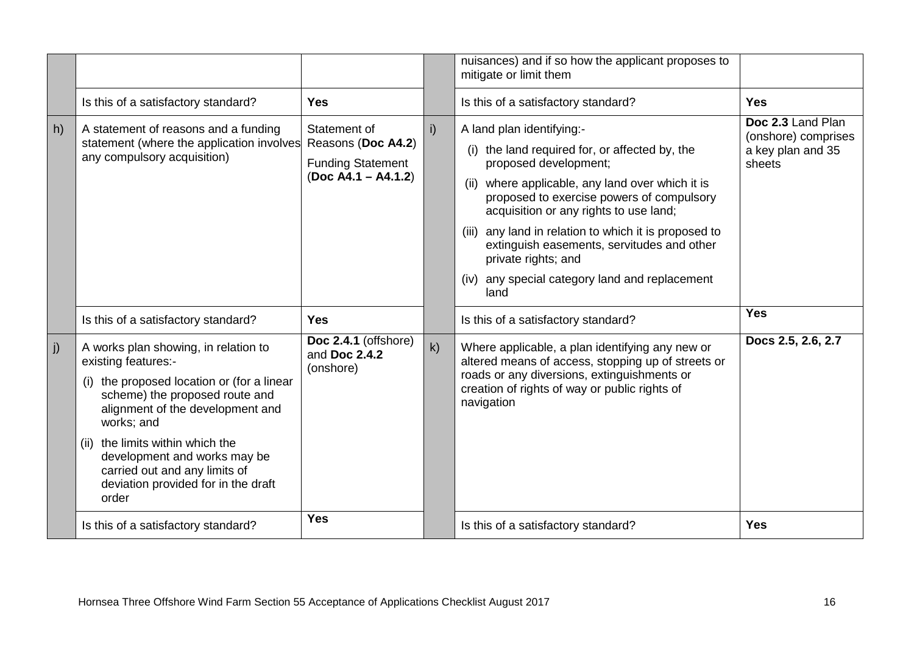|    |                                                                                                                                                                                                                                                                                                                                                       |                                                                                         |    | nuisances) and if so how the applicant proposes to<br>mitigate or limit them                                                                                                                                                                                                                                                                                                                                                            |                                                                         |
|----|-------------------------------------------------------------------------------------------------------------------------------------------------------------------------------------------------------------------------------------------------------------------------------------------------------------------------------------------------------|-----------------------------------------------------------------------------------------|----|-----------------------------------------------------------------------------------------------------------------------------------------------------------------------------------------------------------------------------------------------------------------------------------------------------------------------------------------------------------------------------------------------------------------------------------------|-------------------------------------------------------------------------|
|    | Is this of a satisfactory standard?                                                                                                                                                                                                                                                                                                                   | <b>Yes</b>                                                                              |    | Is this of a satisfactory standard?                                                                                                                                                                                                                                                                                                                                                                                                     | <b>Yes</b>                                                              |
| h) | A statement of reasons and a funding<br>statement (where the application involves<br>any compulsory acquisition)                                                                                                                                                                                                                                      | Statement of<br>Reasons (Doc A4.2)<br><b>Funding Statement</b><br>$(Doc A4.1 - A4.1.2)$ | i) | A land plan identifying:-<br>(i) the land required for, or affected by, the<br>proposed development;<br>(ii) where applicable, any land over which it is<br>proposed to exercise powers of compulsory<br>acquisition or any rights to use land;<br>(iii) any land in relation to which it is proposed to<br>extinguish easements, servitudes and other<br>private rights; and<br>(iv) any special category land and replacement<br>land | Doc 2.3 Land Plan<br>(onshore) comprises<br>a key plan and 35<br>sheets |
|    | Is this of a satisfactory standard?                                                                                                                                                                                                                                                                                                                   | <b>Yes</b>                                                                              |    | Is this of a satisfactory standard?                                                                                                                                                                                                                                                                                                                                                                                                     | <b>Yes</b>                                                              |
| j) | A works plan showing, in relation to<br>existing features:-<br>(i) the proposed location or (for a linear<br>scheme) the proposed route and<br>alignment of the development and<br>works; and<br>the limits within which the<br>(ii)<br>development and works may be<br>carried out and any limits of<br>deviation provided for in the draft<br>order | Doc 2.4.1 (offshore)<br>and Doc 2.4.2<br>(onshore)                                      | k) | Where applicable, a plan identifying any new or<br>altered means of access, stopping up of streets or<br>roads or any diversions, extinguishments or<br>creation of rights of way or public rights of<br>navigation                                                                                                                                                                                                                     | Docs 2.5, 2.6, 2.7                                                      |
|    | Is this of a satisfactory standard?                                                                                                                                                                                                                                                                                                                   | <b>Yes</b>                                                                              |    | Is this of a satisfactory standard?                                                                                                                                                                                                                                                                                                                                                                                                     | <b>Yes</b>                                                              |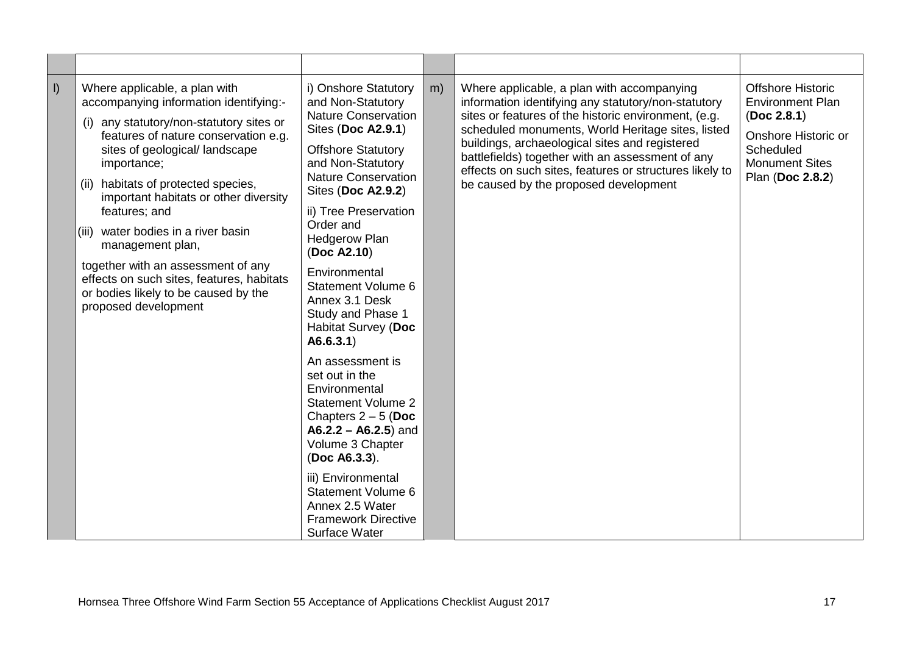| $\vert$ | Where applicable, a plan with<br>accompanying information identifying:-<br>any statutory/non-statutory sites or<br>features of nature conservation e.g.<br>sites of geological/landscape<br>importance;<br>habitats of protected species,<br>(ii)<br>important habitats or other diversity<br>features; and<br>water bodies in a river basin<br>(III)<br>management plan,<br>together with an assessment of any<br>effects on such sites, features, habitats<br>or bodies likely to be caused by the<br>proposed development | i) Onshore Statutory<br>and Non-Statutory<br><b>Nature Conservation</b><br><b>Sites (Doc A2.9.1)</b><br><b>Offshore Statutory</b><br>and Non-Statutory<br><b>Nature Conservation</b><br>Sites (Doc A2.9.2)<br>ii) Tree Preservation<br>Order and<br><b>Hedgerow Plan</b><br>(Doc A2.10)<br>Environmental<br>Statement Volume 6<br>Annex 3.1 Desk<br>Study and Phase 1<br>Habitat Survey (Doc<br>A6.6.3.1) | m) | Where applicable, a plan with accompanying<br>information identifying any statutory/non-statutory<br>sites or features of the historic environment, (e.g.<br>scheduled monuments, World Heritage sites, listed<br>buildings, archaeological sites and registered<br>battlefields) together with an assessment of any<br>effects on such sites, features or structures likely to<br>be caused by the proposed development | <b>Offshore Historic</b><br><b>Environment Plan</b><br>(Doc 2.8.1)<br>Onshore Historic or<br>Scheduled<br><b>Monument Sites</b><br>Plan (Doc 2.8.2) |
|---------|------------------------------------------------------------------------------------------------------------------------------------------------------------------------------------------------------------------------------------------------------------------------------------------------------------------------------------------------------------------------------------------------------------------------------------------------------------------------------------------------------------------------------|-----------------------------------------------------------------------------------------------------------------------------------------------------------------------------------------------------------------------------------------------------------------------------------------------------------------------------------------------------------------------------------------------------------|----|--------------------------------------------------------------------------------------------------------------------------------------------------------------------------------------------------------------------------------------------------------------------------------------------------------------------------------------------------------------------------------------------------------------------------|-----------------------------------------------------------------------------------------------------------------------------------------------------|
|         |                                                                                                                                                                                                                                                                                                                                                                                                                                                                                                                              | An assessment is<br>set out in the<br>Environmental<br><b>Statement Volume 2</b><br>Chapters $2 - 5$ (Doc<br>$A6.2.2 - A6.2.5$ ) and<br>Volume 3 Chapter<br>(Doc A6.3.3).<br>iii) Environmental<br>Statement Volume 6<br>Annex 2.5 Water<br><b>Framework Directive</b><br>Surface Water                                                                                                                   |    |                                                                                                                                                                                                                                                                                                                                                                                                                          |                                                                                                                                                     |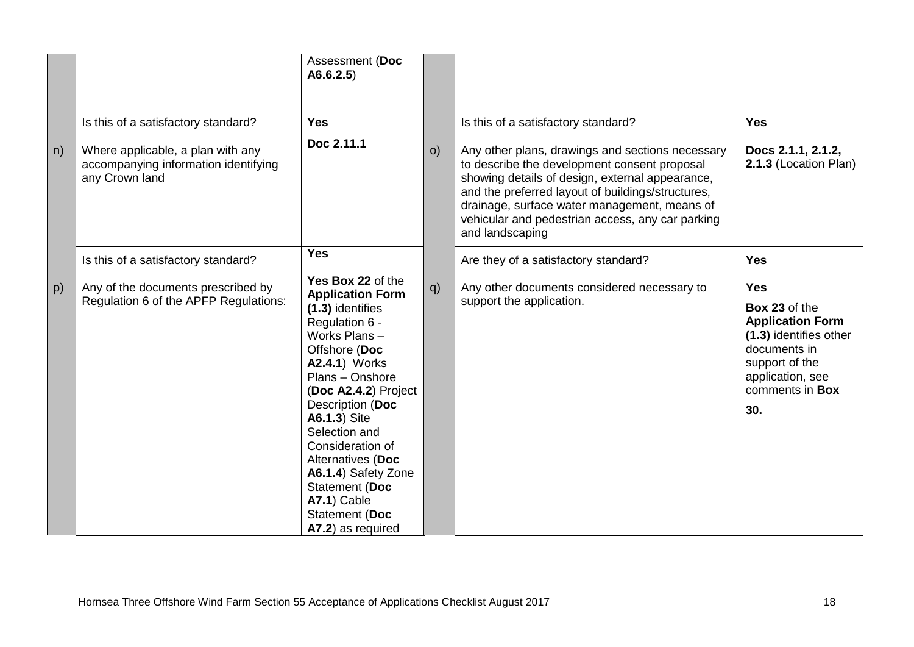|    |                                                                                             | Assessment (Doc<br>A6.6.2.5)                                                                                                                                                                                                                                                                                                                                                               |     |                                                                                                                                                                                                                                                                                                                                 |                                                                                                                                                                  |
|----|---------------------------------------------------------------------------------------------|--------------------------------------------------------------------------------------------------------------------------------------------------------------------------------------------------------------------------------------------------------------------------------------------------------------------------------------------------------------------------------------------|-----|---------------------------------------------------------------------------------------------------------------------------------------------------------------------------------------------------------------------------------------------------------------------------------------------------------------------------------|------------------------------------------------------------------------------------------------------------------------------------------------------------------|
|    | Is this of a satisfactory standard?                                                         | <b>Yes</b>                                                                                                                                                                                                                                                                                                                                                                                 |     | Is this of a satisfactory standard?                                                                                                                                                                                                                                                                                             | <b>Yes</b>                                                                                                                                                       |
| n) | Where applicable, a plan with any<br>accompanying information identifying<br>any Crown land | Doc 2.11.1                                                                                                                                                                                                                                                                                                                                                                                 | O() | Any other plans, drawings and sections necessary<br>to describe the development consent proposal<br>showing details of design, external appearance,<br>and the preferred layout of buildings/structures,<br>drainage, surface water management, means of<br>vehicular and pedestrian access, any car parking<br>and landscaping | Docs 2.1.1, 2.1.2,<br>2.1.3 (Location Plan)                                                                                                                      |
|    | Is this of a satisfactory standard?                                                         | <b>Yes</b>                                                                                                                                                                                                                                                                                                                                                                                 |     | Are they of a satisfactory standard?                                                                                                                                                                                                                                                                                            | <b>Yes</b>                                                                                                                                                       |
| p) | Any of the documents prescribed by<br>Regulation 6 of the APFP Regulations:                 | Yes Box 22 of the<br><b>Application Form</b><br>(1.3) identifies<br>Regulation 6 -<br>Works Plans-<br>Offshore (Doc<br><b>A2.4.1) Works</b><br>Plans - Onshore<br>(Doc A2.4.2) Project<br>Description (Doc<br><b>A6.1.3)</b> Site<br>Selection and<br>Consideration of<br>Alternatives (Doc<br>A6.1.4) Safety Zone<br>Statement (Doc<br>A7.1) Cable<br>Statement (Doc<br>A7.2) as required | q)  | Any other documents considered necessary to<br>support the application.                                                                                                                                                                                                                                                         | <b>Yes</b><br>Box 23 of the<br><b>Application Form</b><br>(1.3) identifies other<br>documents in<br>support of the<br>application, see<br>comments in Box<br>30. |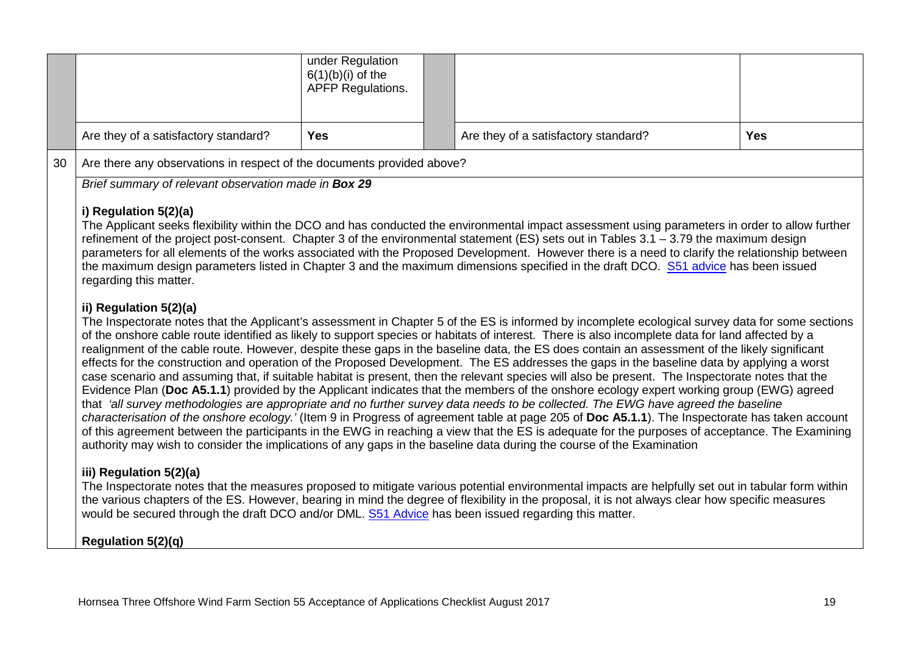|                                      | under Regulation<br>$6(1)(b)(i)$ of the<br><b>APFP Regulations.</b> |                                      |            |
|--------------------------------------|---------------------------------------------------------------------|--------------------------------------|------------|
| Are they of a satisfactory standard? | <b>Yes</b>                                                          | Are they of a satisfactory standard? | <b>Yes</b> |

30 Are there any observations in respect of the documents provided above?

#### *Brief summary of relevant observation made in Box 29*

#### **i) Regulation 5(2)(a)**

The Applicant seeks flexibility within the DCO and has conducted the environmental impact assessment using parameters in order to allow further refinement of the project post-consent. Chapter 3 of the environmental statement (ES) sets out in Tables 3.1 – 3.79 the maximum design parameters for all elements of the works associated with the Proposed Development. However there is a need to clarify the relationship between the maximum design parameters listed in Chapter 3 and the maximum dimensions specified in the draft DCO. [S51 advice](https://infrastructure.planninginspectorate.gov.uk/projects/eastern/hornsea-project-three-offshore-wind-farm/?ipcsection=advice) has been issued regarding this matter.

### **ii) Regulation 5(2)(a)**

The Inspectorate notes that the Applicant's assessment in Chapter 5 of the ES is informed by incomplete ecological survey data for some sections of the onshore cable route identified as likely to support species or habitats of interest. There is also incomplete data for land affected by a realignment of the cable route. However, despite these gaps in the baseline data, the ES does contain an assessment of the likely significant effects for the construction and operation of the Proposed Development. The ES addresses the gaps in the baseline data by applying a worst case scenario and assuming that, if suitable habitat is present, then the relevant species will also be present. The Inspectorate notes that the Evidence Plan (**Doc A5.1.1**) provided by the Applicant indicates that the members of the onshore ecology expert working group (EWG) agreed that *'all survey methodologies are appropriate and no further survey data needs to be collected. The EWG have agreed the baseline characterisation of the onshore ecology.'* (Item 9 in Progress of agreement table at page 205 of **Doc A5.1.1**). The Inspectorate has taken account of this agreement between the participants in the EWG in reaching a view that the ES is adequate for the purposes of acceptance. The Examining authority may wish to consider the implications of any gaps in the baseline data during the course of the Examination

# **iii) Regulation 5(2)(a)**

The Inspectorate notes that the measures proposed to mitigate various potential environmental impacts are helpfully set out in tabular form within the various chapters of the ES. However, bearing in mind the degree of flexibility in the proposal, it is not always clear how specific measures would be secured through the draft DCO and/or DML. [S51 Advice](https://infrastructure.planninginspectorate.gov.uk/projects/eastern/hornsea-project-three-offshore-wind-farm/?ipcsection=advice) has been issued regarding this matter.

### **Regulation 5(2)(q)**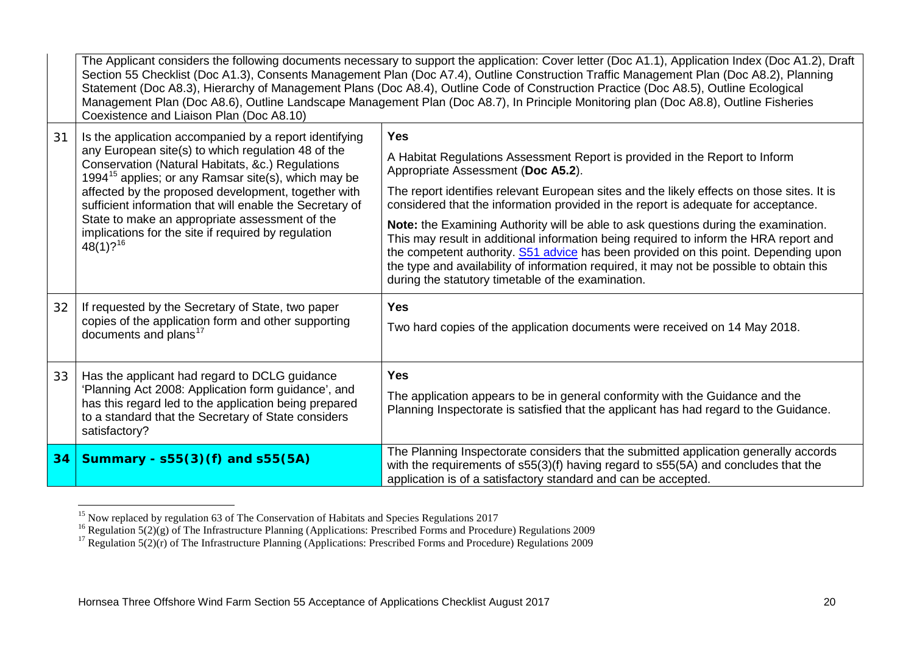<span id="page-21-2"></span><span id="page-21-1"></span><span id="page-21-0"></span>

|    | The Applicant considers the following documents necessary to support the application: Cover letter (Doc A1.1), Application Index (Doc A1.2), Draft<br>Section 55 Checklist (Doc A1.3), Consents Management Plan (Doc A7.4), Outline Construction Traffic Management Plan (Doc A8.2), Planning<br>Statement (Doc A8.3), Hierarchy of Management Plans (Doc A8.4), Outline Code of Construction Practice (Doc A8.5), Outline Ecological<br>Management Plan (Doc A8.6), Outline Landscape Management Plan (Doc A8.7), In Principle Monitoring plan (Doc A8.8), Outline Fisheries<br>Coexistence and Liaison Plan (Doc A8.10) |                                                                                                                                                                                                                                                                                                                                                                                                                       |  |  |  |  |
|----|---------------------------------------------------------------------------------------------------------------------------------------------------------------------------------------------------------------------------------------------------------------------------------------------------------------------------------------------------------------------------------------------------------------------------------------------------------------------------------------------------------------------------------------------------------------------------------------------------------------------------|-----------------------------------------------------------------------------------------------------------------------------------------------------------------------------------------------------------------------------------------------------------------------------------------------------------------------------------------------------------------------------------------------------------------------|--|--|--|--|
| 31 | Is the application accompanied by a report identifying<br>any European site(s) to which regulation 48 of the<br>Conservation (Natural Habitats, &c.) Regulations<br>1994 <sup>15</sup> applies; or any Ramsar site(s), which may be<br>affected by the proposed development, together with<br>sufficient information that will enable the Secretary of                                                                                                                                                                                                                                                                    | <b>Yes</b><br>A Habitat Regulations Assessment Report is provided in the Report to Inform<br>Appropriate Assessment (Doc A5.2).<br>The report identifies relevant European sites and the likely effects on those sites. It is<br>considered that the information provided in the report is adequate for acceptance.                                                                                                   |  |  |  |  |
|    | State to make an appropriate assessment of the<br>implications for the site if required by regulation<br>$48(1)$ ? <sup>16</sup>                                                                                                                                                                                                                                                                                                                                                                                                                                                                                          | Note: the Examining Authority will be able to ask questions during the examination.<br>This may result in additional information being required to inform the HRA report and<br>the competent authority. S51 advice has been provided on this point. Depending upon<br>the type and availability of information required, it may not be possible to obtain this<br>during the statutory timetable of the examination. |  |  |  |  |
| 32 | If requested by the Secretary of State, two paper<br>copies of the application form and other supporting<br>documents and plans <sup>17</sup>                                                                                                                                                                                                                                                                                                                                                                                                                                                                             | <b>Yes</b><br>Two hard copies of the application documents were received on 14 May 2018.                                                                                                                                                                                                                                                                                                                              |  |  |  |  |
| 33 | Has the applicant had regard to DCLG guidance<br>'Planning Act 2008: Application form guidance', and<br>has this regard led to the application being prepared<br>to a standard that the Secretary of State considers<br>satisfactory?                                                                                                                                                                                                                                                                                                                                                                                     | <b>Yes</b><br>The application appears to be in general conformity with the Guidance and the<br>Planning Inspectorate is satisfied that the applicant has had regard to the Guidance.                                                                                                                                                                                                                                  |  |  |  |  |
| 34 | Summary - s55(3)(f) and s55(5A)                                                                                                                                                                                                                                                                                                                                                                                                                                                                                                                                                                                           | The Planning Inspectorate considers that the submitted application generally accords<br>with the requirements of s55(3)(f) having regard to s55(5A) and concludes that the<br>application is of a satisfactory standard and can be accepted.                                                                                                                                                                          |  |  |  |  |

<sup>-</sup>

<sup>&</sup>lt;sup>15</sup> Now replaced by regulation 63 of The Conservation of Habitats and Species Regulations 2017<br><sup>16</sup> Regulation 5(2)(g) of The Infrastructure Planning (Applications: Prescribed Forms and Procedure) Regulations 2009<br><sup>17</sup> R